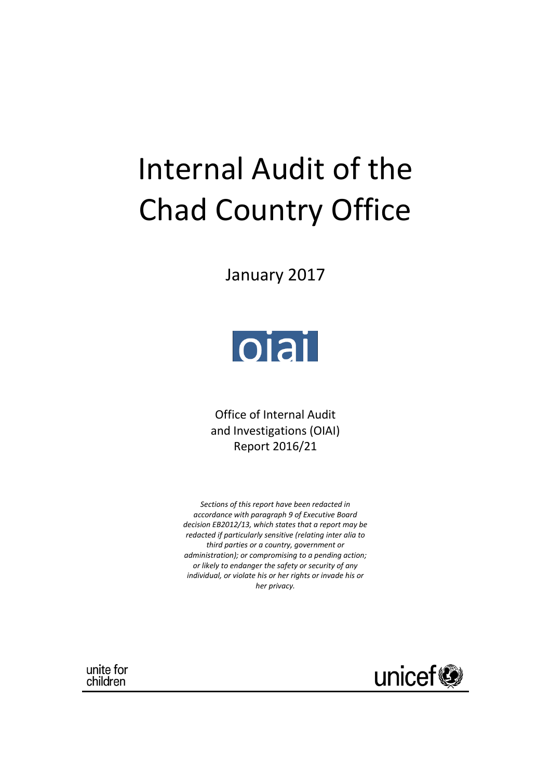# Internal Audit of the Chad Country Office

January 2017



Office of Internal Audit and Investigations (OIAI) Report 2016/21

*Sections of this report have been redacted in accordance with paragraph 9 of Executive Board decision EB2012/13, which states that a report may be redacted if particularly sensitive (relating inter alia to third parties or a country, government or administration); or compromising to a pending action; or likely to endanger the safety or security of any individual, or violate his or her rights or invade his or her privacy.*

unite for children

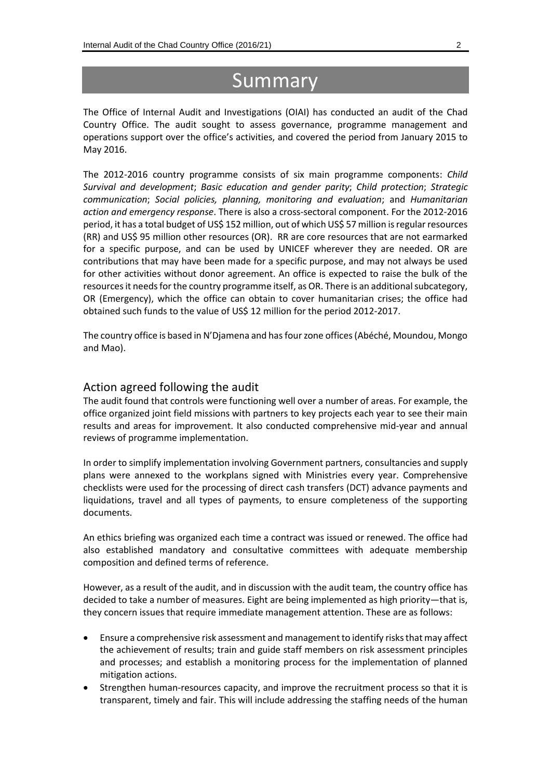## Summary

The Office of Internal Audit and Investigations (OIAI) has conducted an audit of the Chad Country Office. The audit sought to assess governance, programme management and operations support over the office's activities, and covered the period from January 2015 to May 2016.

The 2012-2016 country programme consists of six main programme components: *Child Survival and development*; *Basic education and gender parity*; *Child protection*; *Strategic communication*; *Social policies, planning, monitoring and evaluation*; and *Humanitarian action and emergency response*. There is also a cross-sectoral component. For the 2012-2016 period, it has a total budget of US\$ 152 million, out of which US\$ 57 million is regular resources (RR) and US\$ 95 million other resources (OR). RR are core resources that are not earmarked for a specific purpose, and can be used by UNICEF wherever they are needed. OR are contributions that may have been made for a specific purpose, and may not always be used for other activities without donor agreement. An office is expected to raise the bulk of the resources it needs for the country programme itself, as OR. There is an additional subcategory, OR (Emergency), which the office can obtain to cover humanitarian crises; the office had obtained such funds to the value of US\$ 12 million for the period 2012-2017.

The country office is based in N'Djamena and has four zone offices (Abéché, Moundou, Mongo and Mao).

#### Action agreed following the audit

The audit found that controls were functioning well over a number of areas. For example, the office organized joint field missions with partners to key projects each year to see their main results and areas for improvement. It also conducted comprehensive mid-year and annual reviews of programme implementation.

In order to simplify implementation involving Government partners, consultancies and supply plans were annexed to the workplans signed with Ministries every year. Comprehensive checklists were used for the processing of direct cash transfers (DCT) advance payments and liquidations, travel and all types of payments, to ensure completeness of the supporting documents.

An ethics briefing was organized each time a contract was issued or renewed. The office had also established mandatory and consultative committees with adequate membership composition and defined terms of reference.

However, as a result of the audit, and in discussion with the audit team, the country office has decided to take a number of measures. Eight are being implemented as high priority—that is, they concern issues that require immediate management attention. These are as follows:

- Ensure a comprehensive risk assessment and management to identify risks that may affect the achievement of results; train and guide staff members on risk assessment principles and processes; and establish a monitoring process for the implementation of planned mitigation actions.
- Strengthen human-resources capacity, and improve the recruitment process so that it is transparent, timely and fair. This will include addressing the staffing needs of the human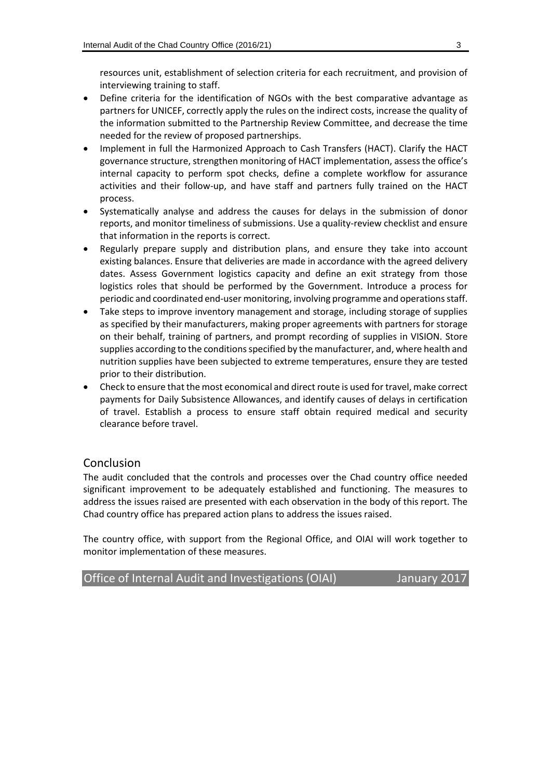resources unit, establishment of selection criteria for each recruitment, and provision of interviewing training to staff.

- Define criteria for the identification of NGOs with the best comparative advantage as partners for UNICEF, correctly apply the rules on the indirect costs, increase the quality of the information submitted to the Partnership Review Committee, and decrease the time needed for the review of proposed partnerships.
- Implement in full the Harmonized Approach to Cash Transfers (HACT). Clarify the HACT governance structure, strengthen monitoring of HACT implementation, assess the office's internal capacity to perform spot checks, define a complete workflow for assurance activities and their follow-up, and have staff and partners fully trained on the HACT process.
- Systematically analyse and address the causes for delays in the submission of donor reports, and monitor timeliness of submissions. Use a quality-review checklist and ensure that information in the reports is correct.
- Regularly prepare supply and distribution plans, and ensure they take into account existing balances. Ensure that deliveries are made in accordance with the agreed delivery dates. Assess Government logistics capacity and define an exit strategy from those logistics roles that should be performed by the Government. Introduce a process for periodic and coordinated end-user monitoring, involving programme and operations staff.
- Take steps to improve inventory management and storage, including storage of supplies as specified by their manufacturers, making proper agreements with partners for storage on their behalf, training of partners, and prompt recording of supplies in VISION. Store supplies according to the conditions specified by the manufacturer, and, where health and nutrition supplies have been subjected to extreme temperatures, ensure they are tested prior to their distribution.
- Check to ensure that the most economical and direct route is used for travel, make correct payments for Daily Subsistence Allowances, and identify causes of delays in certification of travel. Establish a process to ensure staff obtain required medical and security clearance before travel.

#### Conclusion

The audit concluded that the controls and processes over the Chad country office needed significant improvement to be adequately established and functioning. The measures to address the issues raised are presented with each observation in the body of this report. The Chad country office has prepared action plans to address the issues raised.

The country office, with support from the Regional Office, and OIAI will work together to monitor implementation of these measures.

Office of Internal Audit and Investigations (OIAI) January 2017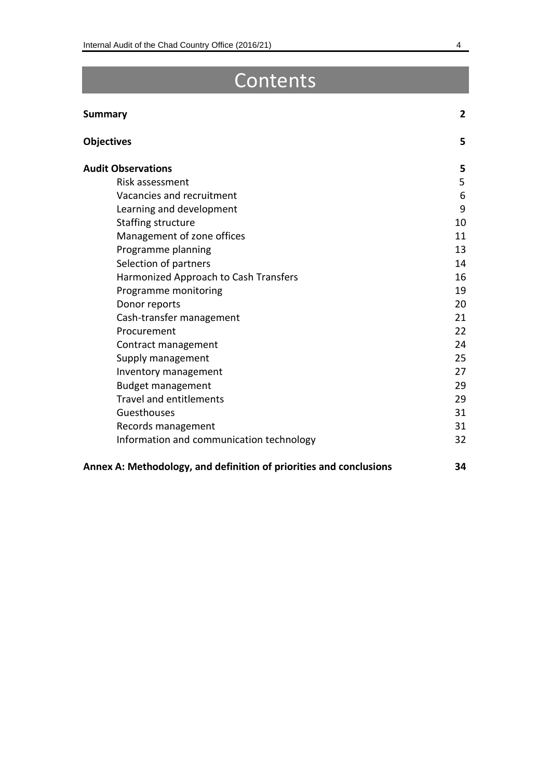## Contents

### **Summary 2**

| <b>Objectives</b>                        | 5  |
|------------------------------------------|----|
| <b>Audit Observations</b>                | 5  |
| Risk assessment                          | 5  |
| Vacancies and recruitment                | 6  |
| Learning and development                 | 9  |
| <b>Staffing structure</b>                | 10 |
| Management of zone offices               | 11 |
| Programme planning                       | 13 |
| Selection of partners                    | 14 |
| Harmonized Approach to Cash Transfers    | 16 |
| Programme monitoring                     | 19 |
| Donor reports                            | 20 |
| Cash-transfer management                 | 21 |
| Procurement                              | 22 |
| Contract management                      | 24 |
| Supply management                        | 25 |
| Inventory management                     | 27 |
| <b>Budget management</b>                 | 29 |
| <b>Travel and entitlements</b>           | 29 |
| Guesthouses                              | 31 |
| Records management                       | 31 |
| Information and communication technology | 32 |

### **Annex A: Methodology, and definition of priorities and conclusions 34**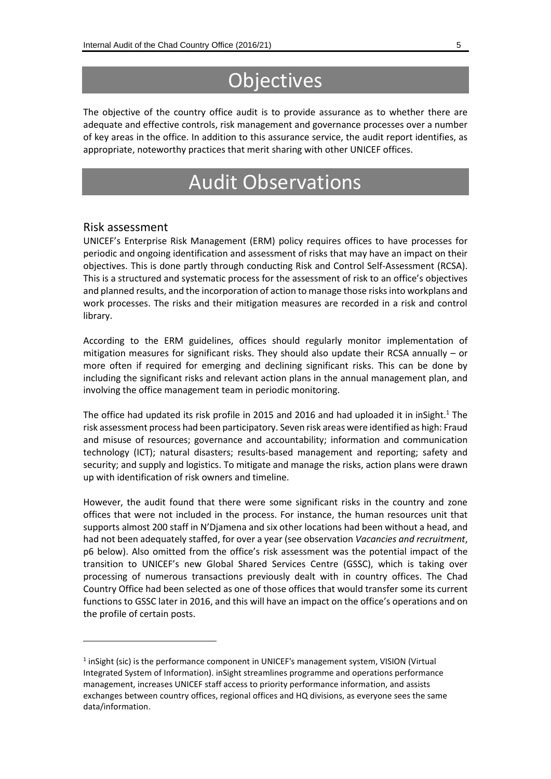## **Objectives**

The objective of the country office audit is to provide assurance as to whether there are adequate and effective controls, risk management and governance processes over a number of key areas in the office. In addition to this assurance service, the audit report identifies, as appropriate, noteworthy practices that merit sharing with other UNICEF offices.

## Audit Observations

#### Risk assessment

-

UNICEF's Enterprise Risk Management (ERM) policy requires offices to have processes for periodic and ongoing identification and assessment of risks that may have an impact on their objectives. This is done partly through conducting Risk and Control Self-Assessment (RCSA). This is a structured and systematic process for the assessment of risk to an office's objectives and planned results, and the incorporation of action to manage those risks into workplans and work processes. The risks and their mitigation measures are recorded in a risk and control library.

According to the ERM guidelines, offices should regularly monitor implementation of mitigation measures for significant risks. They should also update their RCSA annually – or more often if required for emerging and declining significant risks. This can be done by including the significant risks and relevant action plans in the annual management plan, and involving the office management team in periodic monitoring.

The office had updated its risk profile in 2015 and 2016 and had uploaded it in inSight.<sup>1</sup> The risk assessment process had been participatory. Seven risk areas were identified as high: Fraud and misuse of resources; governance and accountability; information and communication technology (ICT); natural disasters; results-based management and reporting; safety and security; and supply and logistics. To mitigate and manage the risks, action plans were drawn up with identification of risk owners and timeline.

However, the audit found that there were some significant risks in the country and zone offices that were not included in the process. For instance, the human resources unit that supports almost 200 staff in N'Djamena and six other locations had been without a head, and had not been adequately staffed, for over a year (see observation *Vacancies and recruitment*, p6 below). Also omitted from the office's risk assessment was the potential impact of the transition to UNICEF's new Global Shared Services Centre (GSSC), which is taking over processing of numerous transactions previously dealt with in country offices. The Chad Country Office had been selected as one of those offices that would transfer some its current functions to GSSC later in 2016, and this will have an impact on the office's operations and on the profile of certain posts.

<sup>&</sup>lt;sup>1</sup> inSight (sic) is the performance component in UNICEF's management system, VISION (Virtual Integrated System of Information). inSight streamlines programme and operations performance management, increases UNICEF staff access to priority performance information, and assists exchanges between country offices, regional offices and HQ divisions, as everyone sees the same data/information.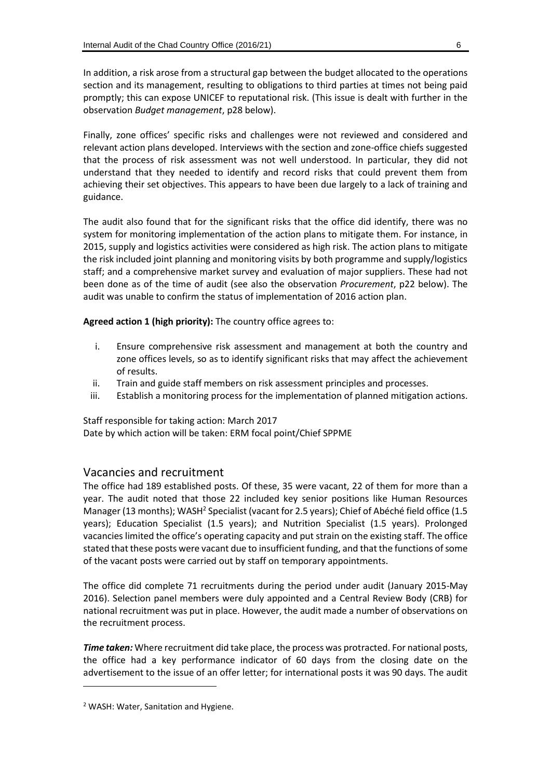In addition, a risk arose from a structural gap between the budget allocated to the operations section and its management, resulting to obligations to third parties at times not being paid promptly; this can expose UNICEF to reputational risk. (This issue is dealt with further in the observation *Budget management*, p28 below).

Finally, zone offices' specific risks and challenges were not reviewed and considered and relevant action plans developed. Interviews with the section and zone-office chiefs suggested that the process of risk assessment was not well understood. In particular, they did not understand that they needed to identify and record risks that could prevent them from achieving their set objectives. This appears to have been due largely to a lack of training and guidance.

The audit also found that for the significant risks that the office did identify, there was no system for monitoring implementation of the action plans to mitigate them. For instance, in 2015, supply and logistics activities were considered as high risk. The action plans to mitigate the risk included joint planning and monitoring visits by both programme and supply/logistics staff; and a comprehensive market survey and evaluation of major suppliers. These had not been done as of the time of audit (see also the observation *Procurement*, p22 below). The audit was unable to confirm the status of implementation of 2016 action plan.

**Agreed action 1 (high priority):** The country office agrees to:

- i. Ensure comprehensive risk assessment and management at both the country and zone offices levels, so as to identify significant risks that may affect the achievement of results.
- ii. Train and guide staff members on risk assessment principles and processes.
- iii. Establish a monitoring process for the implementation of planned mitigation actions.

Staff responsible for taking action: March 2017 Date by which action will be taken: ERM focal point/Chief SPPME

#### Vacancies and recruitment

The office had 189 established posts. Of these, 35 were vacant, 22 of them for more than a year. The audit noted that those 22 included key senior positions like Human Resources Manager (13 months); WASH<sup>2</sup> Specialist (vacant for 2.5 years); Chief of Abéché field office (1.5 years); Education Specialist (1.5 years); and Nutrition Specialist (1.5 years). Prolonged vacancies limited the office's operating capacity and put strain on the existing staff. The office stated that these posts were vacant due to insufficient funding, and that the functions of some of the vacant posts were carried out by staff on temporary appointments.

The office did complete 71 recruitments during the period under audit (January 2015-May 2016). Selection panel members were duly appointed and a Central Review Body (CRB) for national recruitment was put in place. However, the audit made a number of observations on the recruitment process.

*Time taken:* Where recruitment did take place, the process was protracted. For national posts, the office had a key performance indicator of 60 days from the closing date on the advertisement to the issue of an offer letter; for international posts it was 90 days. The audit

-

<sup>2</sup> WASH: Water, Sanitation and Hygiene.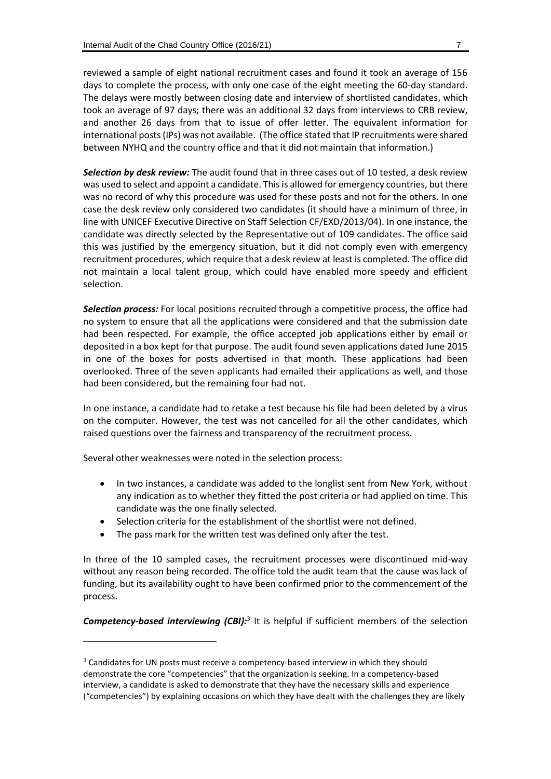reviewed a sample of eight national recruitment cases and found it took an average of 156 days to complete the process, with only one case of the eight meeting the 60-day standard. The delays were mostly between closing date and interview of shortlisted candidates, which took an average of 97 days; there was an additional 32 days from interviews to CRB review, and another 26 days from that to issue of offer letter. The equivalent information for international posts(IPs) was not available. (The office stated that IP recruitments were shared between NYHQ and the country office and that it did not maintain that information.)

*Selection by desk review:* The audit found that in three cases out of 10 tested, a desk review was used to select and appoint a candidate. Thisis allowed for emergency countries, but there was no record of why this procedure was used for these posts and not for the others. In one case the desk review only considered two candidates (it should have a minimum of three, in line with UNICEF Executive Directive on Staff Selection CF/EXD/2013/04). In one instance, the candidate was directly selected by the Representative out of 109 candidates. The office said this was justified by the emergency situation, but it did not comply even with emergency recruitment procedures, which require that a desk review at least is completed. The office did not maintain a local talent group, which could have enabled more speedy and efficient selection.

*Selection process:* For local positions recruited through a competitive process, the office had no system to ensure that all the applications were considered and that the submission date had been respected. For example, the office accepted job applications either by email or deposited in a box kept for that purpose. The audit found seven applications dated June 2015 in one of the boxes for posts advertised in that month. These applications had been overlooked. Three of the seven applicants had emailed their applications as well, and those had been considered, but the remaining four had not.

In one instance, a candidate had to retake a test because his file had been deleted by a virus on the computer. However, the test was not cancelled for all the other candidates, which raised questions over the fairness and transparency of the recruitment process.

Several other weaknesses were noted in the selection process:

 $\overline{a}$ 

- In two instances, a candidate was added to the longlist sent from New York, without any indication as to whether they fitted the post criteria or had applied on time. This candidate was the one finally selected.
- Selection criteria for the establishment of the shortlist were not defined.
- The pass mark for the written test was defined only after the test.

In three of the 10 sampled cases, the recruitment processes were discontinued mid-way without any reason being recorded. The office told the audit team that the cause was lack of funding, but its availability ought to have been confirmed prior to the commencement of the process.

Competency-based interviewing (CBI):<sup>3</sup> It is helpful if sufficient members of the selection

 $3$  Candidates for UN posts must receive a competency-based interview in which they should demonstrate the core "competencies" that the organization is seeking. In a competency-based interview, a candidate is asked to demonstrate that they have the necessary skills and experience ("competencies") by explaining occasions on which they have dealt with the challenges they are likely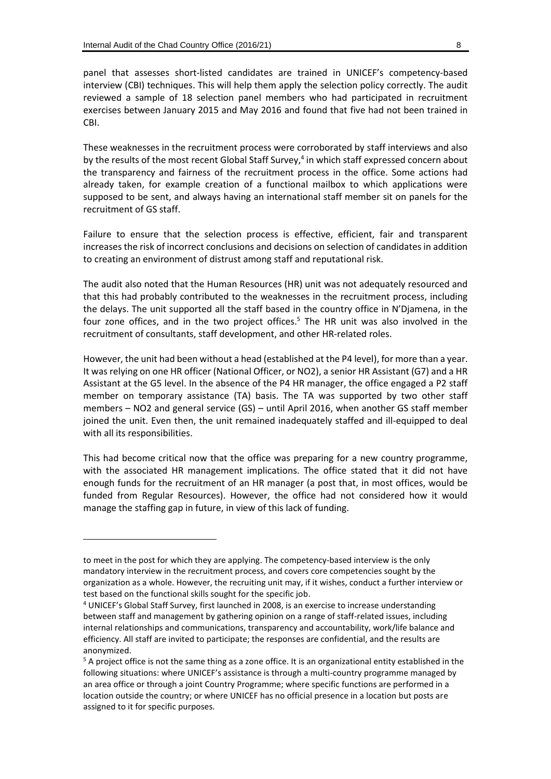-

panel that assesses short-listed candidates are trained in UNICEF's competency-based interview (CBI) techniques. This will help them apply the selection policy correctly. The audit reviewed a sample of 18 selection panel members who had participated in recruitment exercises between January 2015 and May 2016 and found that five had not been trained in CBI.

These weaknesses in the recruitment process were corroborated by staff interviews and also by the results of the most recent Global Staff Survey, 4 in which staff expressed concern about the transparency and fairness of the recruitment process in the office. Some actions had already taken, for example creation of a functional mailbox to which applications were supposed to be sent, and always having an international staff member sit on panels for the recruitment of GS staff.

Failure to ensure that the selection process is effective, efficient, fair and transparent increases the risk of incorrect conclusions and decisions on selection of candidates in addition to creating an environment of distrust among staff and reputational risk.

The audit also noted that the Human Resources (HR) unit was not adequately resourced and that this had probably contributed to the weaknesses in the recruitment process, including the delays. The unit supported all the staff based in the country office in N'Djamena, in the four zone offices, and in the two project offices.<sup>5</sup> The HR unit was also involved in the recruitment of consultants, staff development, and other HR-related roles.

However, the unit had been without a head (established at the P4 level), for more than a year. It was relying on one HR officer (National Officer, or NO2), a senior HR Assistant (G7) and a HR Assistant at the G5 level. In the absence of the P4 HR manager, the office engaged a P2 staff member on temporary assistance (TA) basis. The TA was supported by two other staff members – NO2 and general service (GS) – until April 2016, when another GS staff member joined the unit. Even then, the unit remained inadequately staffed and ill-equipped to deal with all its responsibilities.

This had become critical now that the office was preparing for a new country programme, with the associated HR management implications. The office stated that it did not have enough funds for the recruitment of an HR manager (a post that, in most offices, would be funded from Regular Resources). However, the office had not considered how it would manage the staffing gap in future, in view of this lack of funding.

to meet in the post for which they are applying. The competency-based interview is the only mandatory interview in the recruitment process, and covers core competencies sought by the organization as a whole. However, the recruiting unit may, if it wishes, conduct a further interview or test based on the functional skills sought for the specific job.

<sup>4</sup> UNICEF's Global Staff Survey, first launched in 2008, is an exercise to increase understanding between staff and management by gathering opinion on a range of staff-related issues, including internal relationships and communications, transparency and accountability, work/life balance and efficiency. All staff are invited to participate; the responses are confidential, and the results are anonymized.

<sup>&</sup>lt;sup>5</sup> A project office is not the same thing as a zone office. It is an organizational entity established in the following situations: where UNICEF's assistance is through a multi-country programme managed by an area office or through a joint Country Programme; where specific functions are performed in a location outside the country; or where UNICEF has no official presence in a location but posts are assigned to it for specific purposes.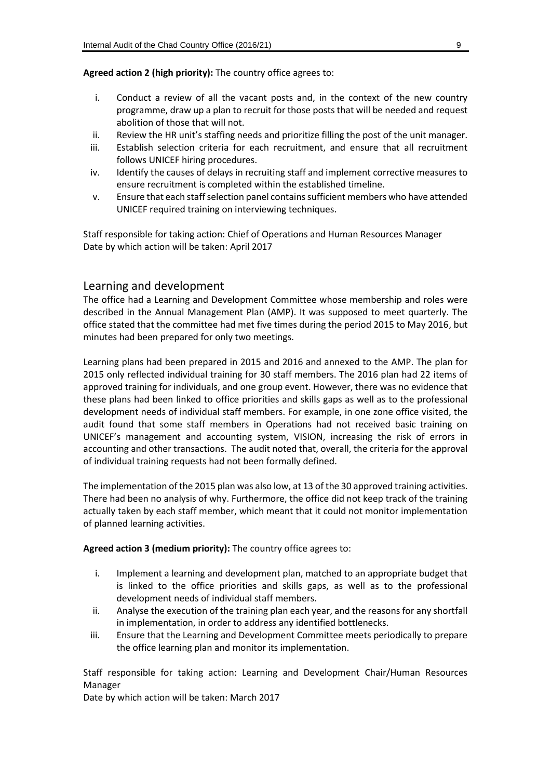#### **Agreed action 2 (high priority):** The country office agrees to:

- i. Conduct a review of all the vacant posts and, in the context of the new country programme, draw up a plan to recruit for those posts that will be needed and request abolition of those that will not.
- ii. Review the HR unit's staffing needs and prioritize filling the post of the unit manager.
- iii. Establish selection criteria for each recruitment, and ensure that all recruitment follows UNICEF hiring procedures.
- iv. Identify the causes of delays in recruiting staff and implement corrective measures to ensure recruitment is completed within the established timeline.
- v. Ensure that each staff selection panel contains sufficient members who have attended UNICEF required training on interviewing techniques.

Staff responsible for taking action: Chief of Operations and Human Resources Manager Date by which action will be taken: April 2017

#### Learning and development

The office had a Learning and Development Committee whose membership and roles were described in the Annual Management Plan (AMP). It was supposed to meet quarterly. The office stated that the committee had met five times during the period 2015 to May 2016, but minutes had been prepared for only two meetings.

Learning plans had been prepared in 2015 and 2016 and annexed to the AMP. The plan for 2015 only reflected individual training for 30 staff members. The 2016 plan had 22 items of approved training for individuals, and one group event. However, there was no evidence that these plans had been linked to office priorities and skills gaps as well as to the professional development needs of individual staff members. For example, in one zone office visited, the audit found that some staff members in Operations had not received basic training on UNICEF's management and accounting system, VISION, increasing the risk of errors in accounting and other transactions. The audit noted that, overall, the criteria for the approval of individual training requests had not been formally defined.

The implementation of the 2015 plan was also low, at 13 of the 30 approved training activities. There had been no analysis of why. Furthermore, the office did not keep track of the training actually taken by each staff member, which meant that it could not monitor implementation of planned learning activities.

#### **Agreed action 3 (medium priority):** The country office agrees to:

- i. Implement a learning and development plan, matched to an appropriate budget that is linked to the office priorities and skills gaps, as well as to the professional development needs of individual staff members.
- ii. Analyse the execution of the training plan each year, and the reasons for any shortfall in implementation, in order to address any identified bottlenecks.
- iii. Ensure that the Learning and Development Committee meets periodically to prepare the office learning plan and monitor its implementation.

Staff responsible for taking action: Learning and Development Chair/Human Resources Manager

Date by which action will be taken: March 2017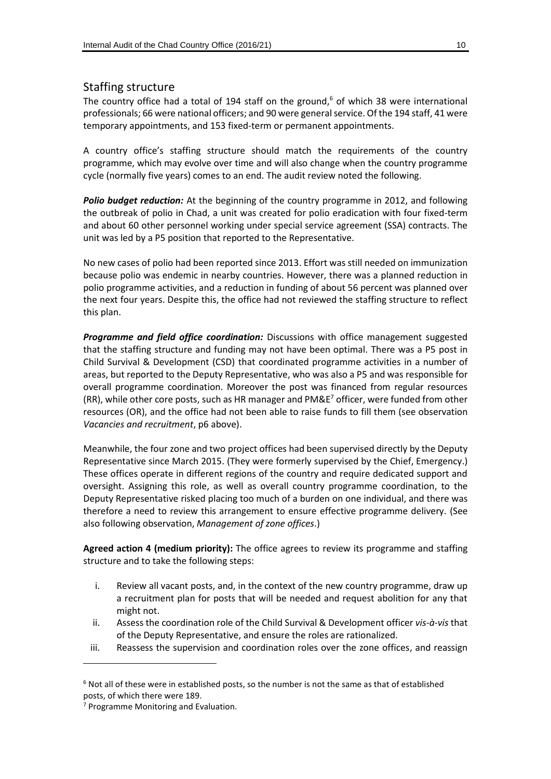#### Staffing structure

The country office had a total of 194 staff on the ground, <sup>6</sup> of which 38 were international professionals; 66 were national officers; and 90 were general service. Of the 194 staff, 41 were temporary appointments, and 153 fixed-term or permanent appointments.

A country office's staffing structure should match the requirements of the country programme, which may evolve over time and will also change when the country programme cycle (normally five years) comes to an end. The audit review noted the following.

*Polio budget reduction:* At the beginning of the country programme in 2012, and following the outbreak of polio in Chad, a unit was created for polio eradication with four fixed-term and about 60 other personnel working under special service agreement (SSA) contracts. The unit was led by a P5 position that reported to the Representative.

No new cases of polio had been reported since 2013. Effort was still needed on immunization because polio was endemic in nearby countries. However, there was a planned reduction in polio programme activities, and a reduction in funding of about 56 percent was planned over the next four years. Despite this, the office had not reviewed the staffing structure to reflect this plan.

*Programme and field office coordination:* Discussions with office management suggested that the staffing structure and funding may not have been optimal. There was a P5 post in Child Survival & Development (CSD) that coordinated programme activities in a number of areas, but reported to the Deputy Representative, who was also a P5 and was responsible for overall programme coordination. Moreover the post was financed from regular resources (RR), while other core posts, such as HR manager and  $PM\&E^7$  officer, were funded from other resources (OR), and the office had not been able to raise funds to fill them (see observation *Vacancies and recruitment*, p6 above).

Meanwhile, the four zone and two project offices had been supervised directly by the Deputy Representative since March 2015. (They were formerly supervised by the Chief, Emergency.) These offices operate in different regions of the country and require dedicated support and oversight. Assigning this role, as well as overall country programme coordination, to the Deputy Representative risked placing too much of a burden on one individual, and there was therefore a need to review this arrangement to ensure effective programme delivery. (See also following observation, *Management of zone offices*.)

**Agreed action 4 (medium priority):** The office agrees to review its programme and staffing structure and to take the following steps:

- i. Review all vacant posts, and, in the context of the new country programme, draw up a recruitment plan for posts that will be needed and request abolition for any that might not.
- ii. Assess the coordination role of the Child Survival & Development officer *vis-à-vis* that of the Deputy Representative, and ensure the roles are rationalized.
- iii. Reassess the supervision and coordination roles over the zone offices, and reassign

-

<sup>&</sup>lt;sup>6</sup> Not all of these were in established posts, so the number is not the same as that of established posts, of which there were 189.

<sup>7</sup> Programme Monitoring and Evaluation.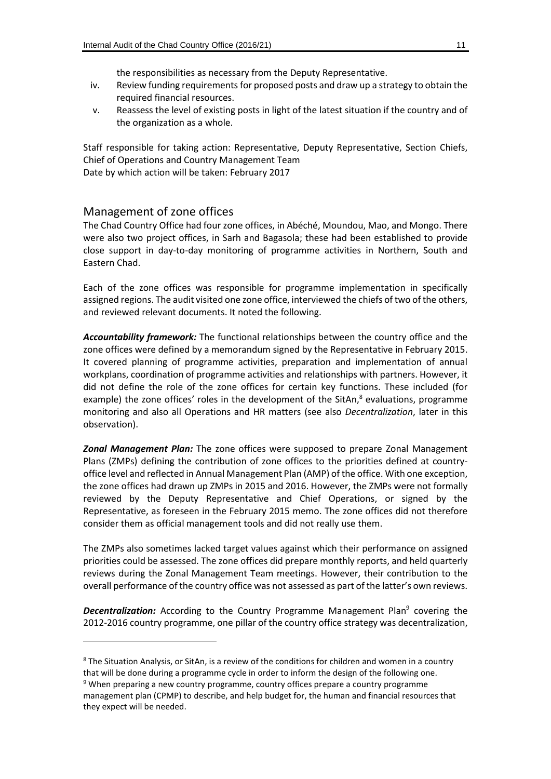the responsibilities as necessary from the Deputy Representative.

- iv. Review funding requirements for proposed posts and draw up a strategy to obtain the required financial resources.
- v. Reassess the level of existing posts in light of the latest situation if the country and of the organization as a whole.

Staff responsible for taking action: Representative, Deputy Representative, Section Chiefs, Chief of Operations and Country Management Team Date by which action will be taken: February 2017

#### Management of zone offices

-

The Chad Country Office had four zone offices, in Abéché, Moundou, Mao, and Mongo. There were also two project offices, in Sarh and Bagasola; these had been established to provide close support in day-to-day monitoring of programme activities in Northern, South and Eastern Chad.

Each of the zone offices was responsible for programme implementation in specifically assigned regions. The audit visited one zone office, interviewed the chiefs of two of the others, and reviewed relevant documents. It noted the following.

*Accountability framework:* The functional relationships between the country office and the zone offices were defined by a memorandum signed by the Representative in February 2015. It covered planning of programme activities, preparation and implementation of annual workplans, coordination of programme activities and relationships with partners. However, it did not define the role of the zone offices for certain key functions. These included (for example) the zone offices' roles in the development of the SitAn, $8$  evaluations, programme monitoring and also all Operations and HR matters (see also *Decentralization*, later in this observation).

*Zonal Management Plan:* The zone offices were supposed to prepare Zonal Management Plans (ZMPs) defining the contribution of zone offices to the priorities defined at countryoffice level and reflected in Annual Management Plan (AMP) of the office. With one exception, the zone offices had drawn up ZMPs in 2015 and 2016. However, the ZMPs were not formally reviewed by the Deputy Representative and Chief Operations, or signed by the Representative, as foreseen in the February 2015 memo. The zone offices did not therefore consider them as official management tools and did not really use them.

The ZMPs also sometimes lacked target values against which their performance on assigned priorities could be assessed. The zone offices did prepare monthly reports, and held quarterly reviews during the Zonal Management Team meetings. However, their contribution to the overall performance of the country office was not assessed as part of the latter's own reviews.

**Decentralization:** According to the Country Programme Management Plan<sup>9</sup> covering the 2012-2016 country programme, one pillar of the country office strategy was decentralization,

<sup>&</sup>lt;sup>8</sup> The Situation Analysis, or SitAn, is a review of the conditions for children and women in a country that will be done during a programme cycle in order to inform the design of the following one.

<sup>&</sup>lt;sup>9</sup> When preparing a new country programme, country offices prepare a country programme management plan (CPMP) to describe, and help budget for, the human and financial resources that they expect will be needed.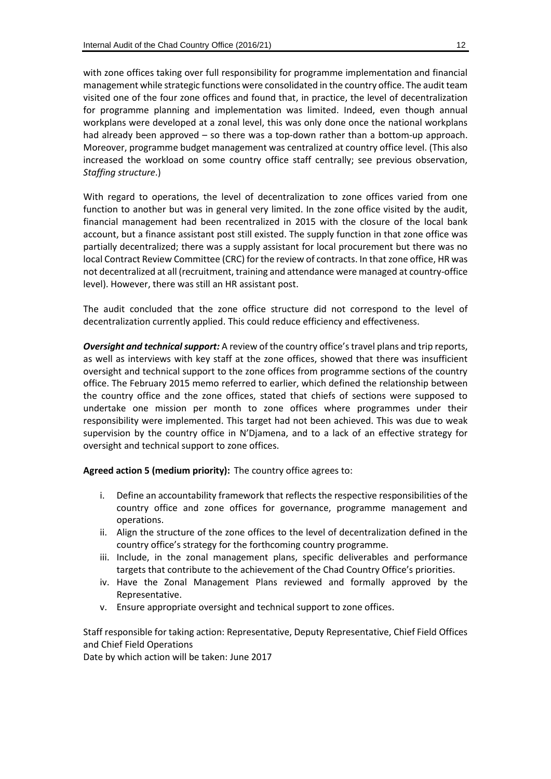with zone offices taking over full responsibility for programme implementation and financial management while strategic functions were consolidated in the country office. The audit team visited one of the four zone offices and found that, in practice, the level of decentralization for programme planning and implementation was limited. Indeed, even though annual workplans were developed at a zonal level, this was only done once the national workplans had already been approved – so there was a top-down rather than a bottom-up approach. Moreover, programme budget management was centralized at country office level. (This also increased the workload on some country office staff centrally; see previous observation, *Staffing structure*.)

With regard to operations, the level of decentralization to zone offices varied from one function to another but was in general very limited. In the zone office visited by the audit, financial management had been recentralized in 2015 with the closure of the local bank account, but a finance assistant post still existed. The supply function in that zone office was partially decentralized; there was a supply assistant for local procurement but there was no local Contract Review Committee (CRC) for the review of contracts. In that zone office, HR was not decentralized at all (recruitment, training and attendance were managed at country-office level). However, there was still an HR assistant post.

The audit concluded that the zone office structure did not correspond to the level of decentralization currently applied. This could reduce efficiency and effectiveness.

*Oversight and technical support:* A review of the country office's travel plans and trip reports, as well as interviews with key staff at the zone offices, showed that there was insufficient oversight and technical support to the zone offices from programme sections of the country office. The February 2015 memo referred to earlier, which defined the relationship between the country office and the zone offices, stated that chiefs of sections were supposed to undertake one mission per month to zone offices where programmes under their responsibility were implemented. This target had not been achieved. This was due to weak supervision by the country office in N'Djamena, and to a lack of an effective strategy for oversight and technical support to zone offices.

**Agreed action 5 (medium priority):** The country office agrees to:

- i. Define an accountability framework that reflects the respective responsibilities of the country office and zone offices for governance, programme management and operations.
- ii. Align the structure of the zone offices to the level of decentralization defined in the country office's strategy for the forthcoming country programme.
- iii. Include, in the zonal management plans, specific deliverables and performance targets that contribute to the achievement of the Chad Country Office's priorities.
- iv. Have the Zonal Management Plans reviewed and formally approved by the Representative.
- v. Ensure appropriate oversight and technical support to zone offices.

Staff responsible for taking action: Representative, Deputy Representative, Chief Field Offices and Chief Field Operations

Date by which action will be taken: June 2017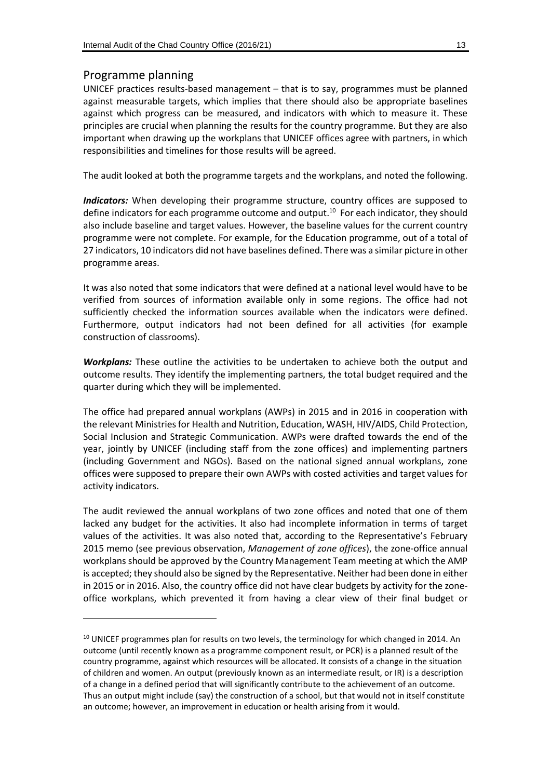#### Programme planning

-

UNICEF practices results-based management – that is to say, programmes must be planned against measurable targets, which implies that there should also be appropriate baselines against which progress can be measured, and indicators with which to measure it. These principles are crucial when planning the results for the country programme. But they are also important when drawing up the workplans that UNICEF offices agree with partners, in which responsibilities and timelines for those results will be agreed.

The audit looked at both the programme targets and the workplans, and noted the following.

*Indicators:* When developing their programme structure, country offices are supposed to define indicators for each programme outcome and output. <sup>10</sup> For each indicator, they should also include baseline and target values. However, the baseline values for the current country programme were not complete. For example, for the Education programme, out of a total of 27 indicators, 10 indicators did not have baselines defined. There was a similar picture in other programme areas.

It was also noted that some indicators that were defined at a national level would have to be verified from sources of information available only in some regions. The office had not sufficiently checked the information sources available when the indicators were defined. Furthermore, output indicators had not been defined for all activities (for example construction of classrooms).

*Workplans:* These outline the activities to be undertaken to achieve both the output and outcome results. They identify the implementing partners, the total budget required and the quarter during which they will be implemented.

The office had prepared annual workplans (AWPs) in 2015 and in 2016 in cooperation with the relevant Ministries for Health and Nutrition, Education, WASH, HIV/AIDS, Child Protection, Social Inclusion and Strategic Communication. AWPs were drafted towards the end of the year, jointly by UNICEF (including staff from the zone offices) and implementing partners (including Government and NGOs). Based on the national signed annual workplans, zone offices were supposed to prepare their own AWPs with costed activities and target values for activity indicators.

The audit reviewed the annual workplans of two zone offices and noted that one of them lacked any budget for the activities. It also had incomplete information in terms of target values of the activities. It was also noted that, according to the Representative's February 2015 memo (see previous observation, *Management of zone offices*), the zone-office annual workplans should be approved by the Country Management Team meeting at which the AMP is accepted; they should also be signed by the Representative. Neither had been done in either in 2015 or in 2016. Also, the country office did not have clear budgets by activity for the zoneoffice workplans, which prevented it from having a clear view of their final budget or

 $10$  UNICEF programmes plan for results on two levels, the terminology for which changed in 2014. An outcome (until recently known as a programme component result, or PCR) is a planned result of the country programme, against which resources will be allocated. It consists of a change in the situation of children and women. An output (previously known as an intermediate result, or IR) is a description of a change in a defined period that will significantly contribute to the achievement of an outcome. Thus an output might include (say) the construction of a school, but that would not in itself constitute an outcome; however, an improvement in education or health arising from it would.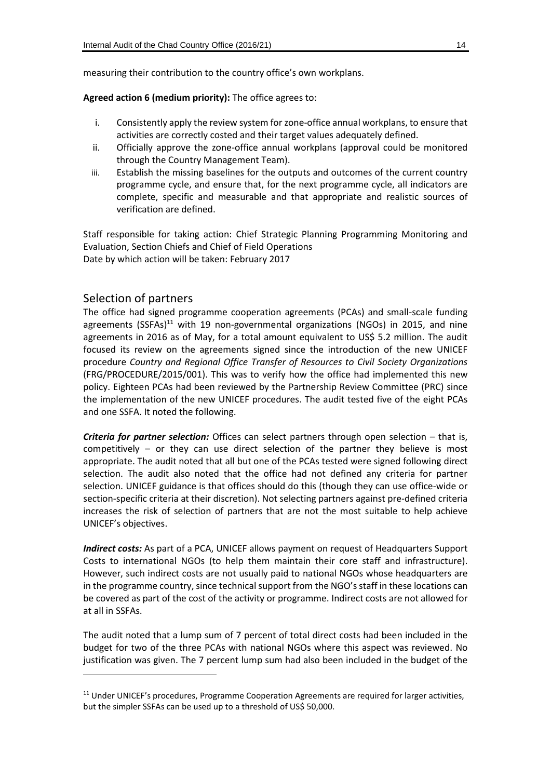measuring their contribution to the country office's own workplans.

#### **Agreed action 6 (medium priority):** The office agrees to:

- i. Consistently apply the review system for zone-office annual workplans, to ensure that activities are correctly costed and their target values adequately defined.
- ii. Officially approve the zone-office annual workplans (approval could be monitored through the Country Management Team).
- iii. Establish the missing baselines for the outputs and outcomes of the current country programme cycle, and ensure that, for the next programme cycle, all indicators are complete, specific and measurable and that appropriate and realistic sources of verification are defined.

Staff responsible for taking action: Chief Strategic Planning Programming Monitoring and Evaluation, Section Chiefs and Chief of Field Operations Date by which action will be taken: February 2017

#### Selection of partners

 $\overline{a}$ 

The office had signed programme cooperation agreements (PCAs) and small-scale funding agreements (SSFAs)<sup>11</sup> with 19 non-governmental organizations (NGOs) in 2015, and nine agreements in 2016 as of May, for a total amount equivalent to US\$ 5.2 million. The audit focused its review on the agreements signed since the introduction of the new UNICEF procedure *Country and Regional Office Transfer of Resources to Civil Society Organizations* (FRG/PROCEDURE/2015/001). This was to verify how the office had implemented this new policy. Eighteen PCAs had been reviewed by the Partnership Review Committee (PRC) since the implementation of the new UNICEF procedures. The audit tested five of the eight PCAs and one SSFA. It noted the following.

*Criteria for partner selection:* Offices can select partners through open selection – that is, competitively – or they can use direct selection of the partner they believe is most appropriate. The audit noted that all but one of the PCAs tested were signed following direct selection. The audit also noted that the office had not defined any criteria for partner selection. UNICEF guidance is that offices should do this (though they can use office-wide or section-specific criteria at their discretion). Not selecting partners against pre-defined criteria increases the risk of selection of partners that are not the most suitable to help achieve UNICEF's objectives.

*Indirect costs:* As part of a PCA, UNICEF allows payment on request of Headquarters Support Costs to international NGOs (to help them maintain their core staff and infrastructure). However, such indirect costs are not usually paid to national NGOs whose headquarters are in the programme country, since technical support from the NGO's staff in these locations can be covered as part of the cost of the activity or programme. Indirect costs are not allowed for at all in SSFAs.

The audit noted that a lump sum of 7 percent of total direct costs had been included in the budget for two of the three PCAs with national NGOs where this aspect was reviewed. No justification was given. The 7 percent lump sum had also been included in the budget of the

<sup>&</sup>lt;sup>11</sup> Under UNICEF's procedures, Programme Cooperation Agreements are required for larger activities, but the simpler SSFAs can be used up to a threshold of US\$ 50,000.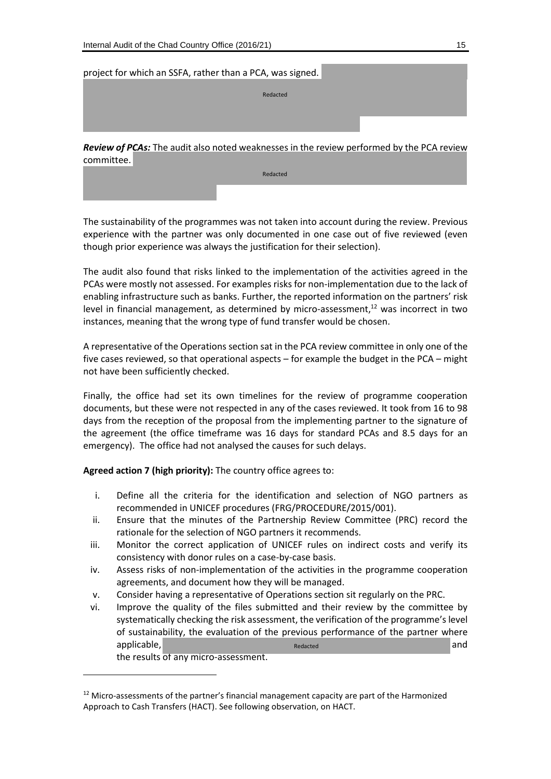\*\*\*\*\*\*\*\*\*\*\*\*\*\*\*\*\*

 $\overline{a}$ 

#### project for which an SSFA, rather than a PCA, was signed.

\*\*\*\*\*\*\*\*\*\*\*\*\*\*\*\*\*\*\*\*\*\*\*\*\*\*\*\*\*\*\*\*\*\*\*\*\*\*

\*\*\*\*\*\*\*\*\*\*\*\*\*\*\*\*\*\*\*\*\*\*\*\*\*\*\*\*\*\*\*\*\*\*\*\*\*\*\*\*\*\*\*\*\*\*\*\*\*\*\*\*\*\*\*\*\*\*\*\*\*\*\*\*\*\*\*\*\*\*\*\*\*\*\* Redacted

*Review of PCAs:* The audit also noted weaknesses in the review performed by the PCA review committee.

\*\*\*\*\*\*\*\*\*\*\*\*\*\*\*\*\*\*\*\*\*\*\*\*\*\*\*\* \*\*\*\*\*\*\*\*\*\*\*\*\*\*\*\*\*\*\*\*\*\*\*\*\*\*\*\*\*\*\*\*\*\*\*\*\*\*\*\*\*\*\*\*\*\*\* \*\*\*\*\*\*\*\*\*\*\*\*\*\*\*\*\*\*\*\*\*\*\*\*\*\*\*\*\*\*\*\*\*\*\*\*\*\*\*\*\*\*\*\*\*\*\*\*\*\*\*\*\*\*\*\*\*\*\*\*\*\*\*\*\*\*\*\*\*\*\*\*\*\*\* Redacted

The sustainability of the programmes was not taken into account during the review. Previous experience with the partner was only documented in one case out of five reviewed (even though prior experience was always the justification for their selection).

The audit also found that risks linked to the implementation of the activities agreed in the PCAs were mostly not assessed. For examples risks for non-implementation due to the lack of enabling infrastructure such as banks. Further, the reported information on the partners' risk level in financial management, as determined by micro-assessment, $12$  was incorrect in two instances, meaning that the wrong type of fund transfer would be chosen.

A representative of the Operations section sat in the PCA review committee in only one of the five cases reviewed, so that operational aspects – for example the budget in the PCA – might not have been sufficiently checked.

Finally, the office had set its own timelines for the review of programme cooperation documents, but these were not respected in any of the cases reviewed. It took from 16 to 98 days from the reception of the proposal from the implementing partner to the signature of the agreement (the office timeframe was 16 days for standard PCAs and 8.5 days for an emergency). The office had not analysed the causes for such delays.

**Agreed action 7 (high priority):** The country office agrees to:

- i. Define all the criteria for the identification and selection of NGO partners as recommended in UNICEF procedures (FRG/PROCEDURE/2015/001).
- ii. Ensure that the minutes of the Partnership Review Committee (PRC) record the rationale for the selection of NGO partners it recommends.
- iii. Monitor the correct application of UNICEF rules on indirect costs and verify its consistency with donor rules on a case-by-case basis.
- iv. Assess risks of non-implementation of the activities in the programme cooperation agreements, and document how they will be managed.
- v. Consider having a representative of Operations section sit regularly on the PRC.
- vi. Improve the quality of the files submitted and their review by the committee by systematically checking the risk assessment, the verification of the programme's level of sustainability, the evaluation of the previous performance of the partner where applicable, \*\*\*\*\*\*\*\*\*\*\*\*\*\*\*\*\*\*\*\*\*\*\*\*\*\*\*\*\*\*\*\*\*\*\*\*\*\*\*\*\*\*\*\*\*\*\*\*\*\*\*\*\*\*\* and the results of any micro-assessment. Redacted

<sup>&</sup>lt;sup>12</sup> Micro-assessments of the partner's financial management capacity are part of the Harmonized Approach to Cash Transfers (HACT). See following observation, on HACT.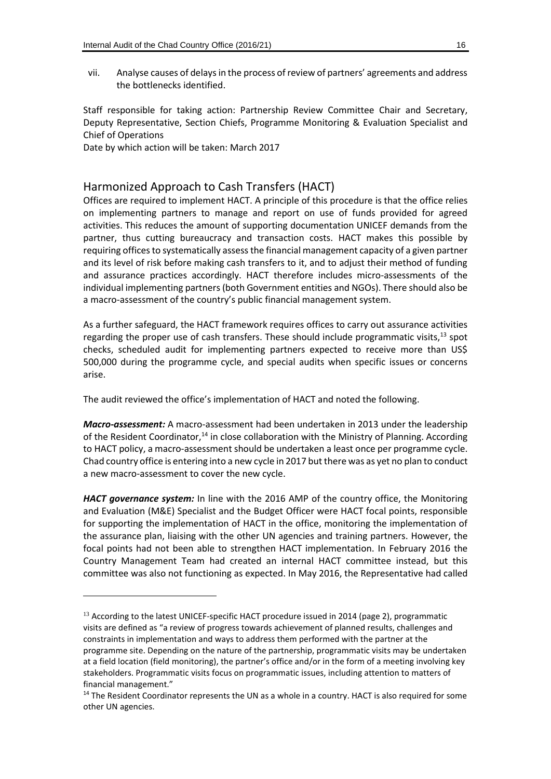vii. Analyse causes of delays in the process of review of partners' agreements and address the bottlenecks identified.

Staff responsible for taking action: Partnership Review Committee Chair and Secretary, Deputy Representative, Section Chiefs, Programme Monitoring & Evaluation Specialist and Chief of Operations

Date by which action will be taken: March 2017

 $\overline{a}$ 

#### Harmonized Approach to Cash Transfers (HACT)

Offices are required to implement HACT. A principle of this procedure is that the office relies on implementing partners to manage and report on use of funds provided for agreed activities. This reduces the amount of supporting documentation UNICEF demands from the partner, thus cutting bureaucracy and transaction costs. HACT makes this possible by requiring offices to systematically assess the financial management capacity of a given partner and its level of risk before making cash transfers to it, and to adjust their method of funding and assurance practices accordingly. HACT therefore includes micro-assessments of the individual implementing partners (both Government entities and NGOs). There should also be a macro-assessment of the country's public financial management system.

As a further safeguard, the HACT framework requires offices to carry out assurance activities regarding the proper use of cash transfers. These should include programmatic visits,  $^{13}$  spot checks, scheduled audit for implementing partners expected to receive more than US\$ 500,000 during the programme cycle, and special audits when specific issues or concerns arise.

The audit reviewed the office's implementation of HACT and noted the following.

*Macro-assessment:* A macro-assessment had been undertaken in 2013 under the leadership of the Resident Coordinator,<sup>14</sup> in close collaboration with the Ministry of Planning. According to HACT policy, a macro-assessment should be undertaken a least once per programme cycle. Chad country office is entering into a new cycle in 2017 but there was as yet no plan to conduct a new macro-assessment to cover the new cycle.

*HACT governance system:* In line with the 2016 AMP of the country office, the Monitoring and Evaluation (M&E) Specialist and the Budget Officer were HACT focal points, responsible for supporting the implementation of HACT in the office, monitoring the implementation of the assurance plan, liaising with the other UN agencies and training partners. However, the focal points had not been able to strengthen HACT implementation. In February 2016 the Country Management Team had created an internal HACT committee instead, but this committee was also not functioning as expected. In May 2016, the Representative had called

<sup>&</sup>lt;sup>13</sup> According to the latest UNICEF-specific HACT procedure issued in 2014 (page 2), programmatic visits are defined as "a review of progress towards achievement of planned results, challenges and constraints in implementation and ways to address them performed with the partner at the programme site. Depending on the nature of the partnership, programmatic visits may be undertaken at a field location (field monitoring), the partner's office and/or in the form of a meeting involving key stakeholders. Programmatic visits focus on programmatic issues, including attention to matters of financial management."

<sup>&</sup>lt;sup>14</sup> The Resident Coordinator represents the UN as a whole in a country. HACT is also required for some other UN agencies.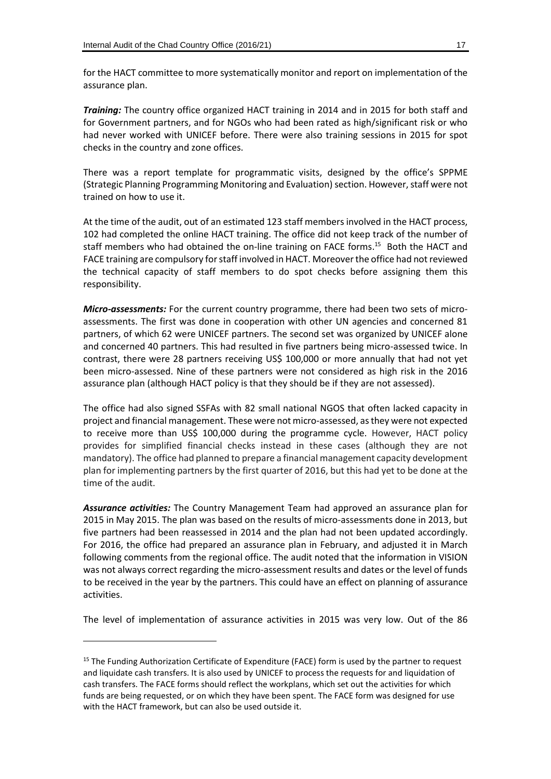for the HACT committee to more systematically monitor and report on implementation of the assurance plan.

*Training:* The country office organized HACT training in 2014 and in 2015 for both staff and for Government partners, and for NGOs who had been rated as high/significant risk or who had never worked with UNICEF before. There were also training sessions in 2015 for spot checks in the country and zone offices.

There was a report template for programmatic visits, designed by the office's SPPME (Strategic Planning Programming Monitoring and Evaluation) section. However, staff were not trained on how to use it.

At the time of the audit, out of an estimated 123 staff members involved in the HACT process, 102 had completed the online HACT training. The office did not keep track of the number of staff members who had obtained the on-line training on FACE forms.<sup>15</sup> Both the HACT and FACE training are compulsory for staff involved in HACT. Moreoverthe office had not reviewed the technical capacity of staff members to do spot checks before assigning them this responsibility.

*Micro-assessments:* For the current country programme, there had been two sets of microassessments. The first was done in cooperation with other UN agencies and concerned 81 partners, of which 62 were UNICEF partners. The second set was organized by UNICEF alone and concerned 40 partners. This had resulted in five partners being micro-assessed twice. In contrast, there were 28 partners receiving US\$ 100,000 or more annually that had not yet been micro-assessed. Nine of these partners were not considered as high risk in the 2016 assurance plan (although HACT policy is that they should be if they are not assessed).

The office had also signed SSFAs with 82 small national NGOS that often lacked capacity in project and financial management. These were not micro-assessed, as they were not expected to receive more than US\$ 100,000 during the programme cycle. However, HACT policy provides for simplified financial checks instead in these cases (although they are not mandatory). The office had planned to prepare a financial management capacity development plan for implementing partners by the first quarter of 2016, but this had yet to be done at the time of the audit.

*Assurance activities:* The Country Management Team had approved an assurance plan for 2015 in May 2015. The plan was based on the results of micro-assessments done in 2013, but five partners had been reassessed in 2014 and the plan had not been updated accordingly. For 2016, the office had prepared an assurance plan in February, and adjusted it in March following comments from the regional office. The audit noted that the information in VISION was not always correct regarding the micro-assessment results and dates or the level of funds to be received in the year by the partners. This could have an effect on planning of assurance activities.

The level of implementation of assurance activities in 2015 was very low. Out of the 86

-

<sup>&</sup>lt;sup>15</sup> The Funding Authorization Certificate of Expenditure (FACE) form is used by the partner to request and liquidate cash transfers. It is also used by UNICEF to process the requests for and liquidation of cash transfers. The FACE forms should reflect the workplans, which set out the activities for which funds are being requested, or on which they have been spent. The FACE form was designed for use with the HACT framework, but can also be used outside it.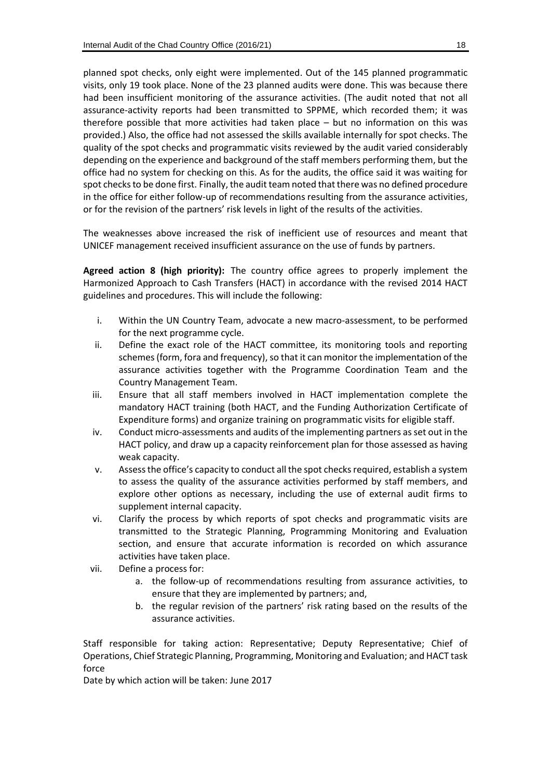planned spot checks, only eight were implemented. Out of the 145 planned programmatic visits, only 19 took place. None of the 23 planned audits were done. This was because there had been insufficient monitoring of the assurance activities. (The audit noted that not all assurance-activity reports had been transmitted to SPPME, which recorded them; it was therefore possible that more activities had taken place – but no information on this was provided.) Also, the office had not assessed the skills available internally for spot checks. The quality of the spot checks and programmatic visits reviewed by the audit varied considerably depending on the experience and background of the staff members performing them, but the office had no system for checking on this. As for the audits, the office said it was waiting for spot checks to be done first. Finally, the audit team noted that there was no defined procedure in the office for either follow-up of recommendations resulting from the assurance activities, or for the revision of the partners' risk levels in light of the results of the activities.

The weaknesses above increased the risk of inefficient use of resources and meant that UNICEF management received insufficient assurance on the use of funds by partners.

**Agreed action 8 (high priority):** The country office agrees to properly implement the Harmonized Approach to Cash Transfers (HACT) in accordance with the revised 2014 HACT guidelines and procedures. This will include the following:

- i. Within the UN Country Team, advocate a new macro-assessment, to be performed for the next programme cycle.
- ii. Define the exact role of the HACT committee, its monitoring tools and reporting schemes (form, fora and frequency), so that it can monitor the implementation of the assurance activities together with the Programme Coordination Team and the Country Management Team.
- iii. Ensure that all staff members involved in HACT implementation complete the mandatory HACT training (both HACT, and the Funding Authorization Certificate of Expenditure forms) and organize training on programmatic visits for eligible staff.
- iv. Conduct micro-assessments and audits of the implementing partners as set out in the HACT policy, and draw up a capacity reinforcement plan for those assessed as having weak capacity.
- v. Assess the office's capacity to conduct all the spot checks required, establish a system to assess the quality of the assurance activities performed by staff members, and explore other options as necessary, including the use of external audit firms to supplement internal capacity.
- vi. Clarify the process by which reports of spot checks and programmatic visits are transmitted to the Strategic Planning, Programming Monitoring and Evaluation section, and ensure that accurate information is recorded on which assurance activities have taken place.
- vii. Define a process for:
	- a. the follow-up of recommendations resulting from assurance activities, to ensure that they are implemented by partners; and,
	- b. the regular revision of the partners' risk rating based on the results of the assurance activities.

Staff responsible for taking action: Representative; Deputy Representative; Chief of Operations, Chief Strategic Planning, Programming, Monitoring and Evaluation; and HACT task force

Date by which action will be taken: June 2017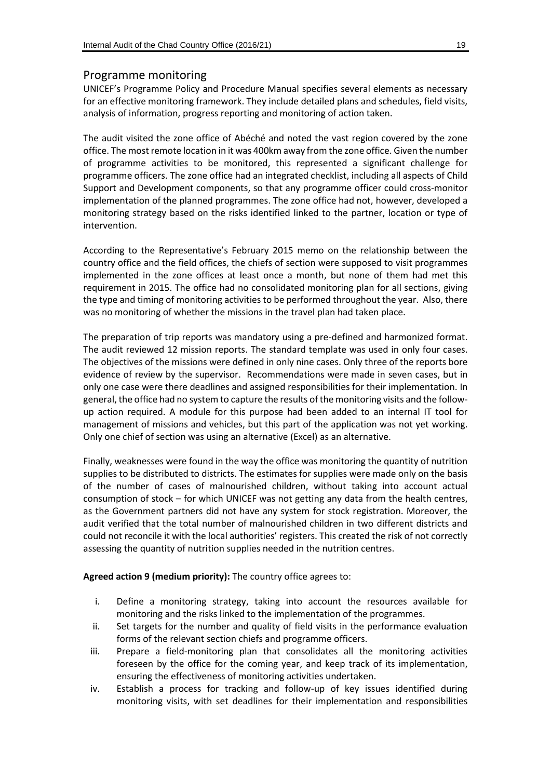#### Programme monitoring

UNICEF's Programme Policy and Procedure Manual specifies several elements as necessary for an effective monitoring framework. They include detailed plans and schedules, field visits, analysis of information, progress reporting and monitoring of action taken.

The audit visited the zone office of Abéché and noted the vast region covered by the zone office. The most remote location in it was 400km away from the zone office. Given the number of programme activities to be monitored, this represented a significant challenge for programme officers. The zone office had an integrated checklist, including all aspects of Child Support and Development components, so that any programme officer could cross-monitor implementation of the planned programmes. The zone office had not, however, developed a monitoring strategy based on the risks identified linked to the partner, location or type of intervention.

According to the Representative's February 2015 memo on the relationship between the country office and the field offices, the chiefs of section were supposed to visit programmes implemented in the zone offices at least once a month, but none of them had met this requirement in 2015. The office had no consolidated monitoring plan for all sections, giving the type and timing of monitoring activities to be performed throughout the year. Also, there was no monitoring of whether the missions in the travel plan had taken place.

The preparation of trip reports was mandatory using a pre-defined and harmonized format. The audit reviewed 12 mission reports. The standard template was used in only four cases. The objectives of the missions were defined in only nine cases. Only three of the reports bore evidence of review by the supervisor. Recommendations were made in seven cases, but in only one case were there deadlines and assigned responsibilities for their implementation. In general, the office had no system to capture the results of the monitoring visits and the followup action required. A module for this purpose had been added to an internal IT tool for management of missions and vehicles, but this part of the application was not yet working. Only one chief of section was using an alternative (Excel) as an alternative.

Finally, weaknesses were found in the way the office was monitoring the quantity of nutrition supplies to be distributed to districts. The estimates for supplies were made only on the basis of the number of cases of malnourished children, without taking into account actual consumption of stock – for which UNICEF was not getting any data from the health centres, as the Government partners did not have any system for stock registration. Moreover, the audit verified that the total number of malnourished children in two different districts and could not reconcile it with the local authorities' registers. This created the risk of not correctly assessing the quantity of nutrition supplies needed in the nutrition centres.

#### **Agreed action 9 (medium priority):** The country office agrees to:

- i. Define a monitoring strategy, taking into account the resources available for monitoring and the risks linked to the implementation of the programmes.
- ii. Set targets for the number and quality of field visits in the performance evaluation forms of the relevant section chiefs and programme officers.
- iii. Prepare a field-monitoring plan that consolidates all the monitoring activities foreseen by the office for the coming year, and keep track of its implementation, ensuring the effectiveness of monitoring activities undertaken.
- iv. Establish a process for tracking and follow-up of key issues identified during monitoring visits, with set deadlines for their implementation and responsibilities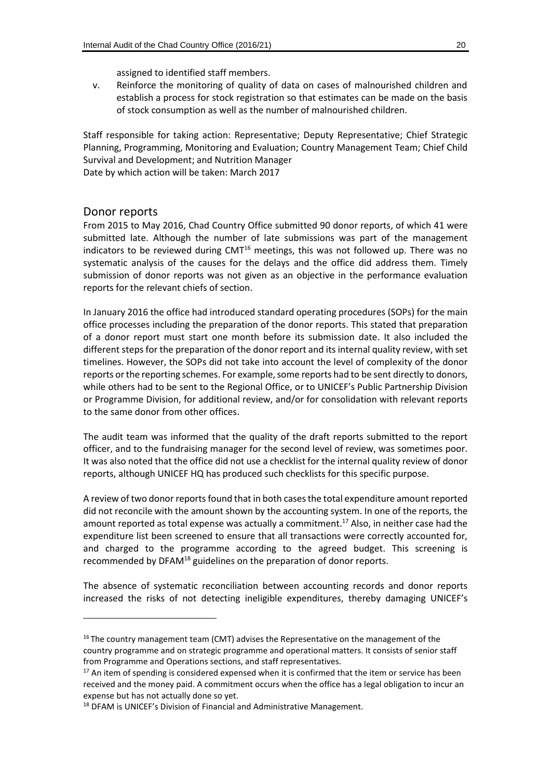assigned to identified staff members.

v. Reinforce the monitoring of quality of data on cases of malnourished children and establish a process for stock registration so that estimates can be made on the basis of stock consumption as well as the number of malnourished children.

Staff responsible for taking action: Representative; Deputy Representative; Chief Strategic Planning, Programming, Monitoring and Evaluation; Country Management Team; Chief Child Survival and Development; and Nutrition Manager

Date by which action will be taken: March 2017

#### Donor reports

-

From 2015 to May 2016, Chad Country Office submitted 90 donor reports, of which 41 were submitted late. Although the number of late submissions was part of the management indicators to be reviewed during  $CMT^{16}$  meetings, this was not followed up. There was no systematic analysis of the causes for the delays and the office did address them. Timely submission of donor reports was not given as an objective in the performance evaluation reports for the relevant chiefs of section.

In January 2016 the office had introduced standard operating procedures (SOPs) for the main office processes including the preparation of the donor reports. This stated that preparation of a donor report must start one month before its submission date. It also included the different steps for the preparation of the donor report and its internal quality review, with set timelines. However, the SOPs did not take into account the level of complexity of the donor reports or the reporting schemes. For example, some reports had to be sent directly to donors, while others had to be sent to the Regional Office, or to UNICEF's Public Partnership Division or Programme Division, for additional review, and/or for consolidation with relevant reports to the same donor from other offices.

The audit team was informed that the quality of the draft reports submitted to the report officer, and to the fundraising manager for the second level of review, was sometimes poor. It was also noted that the office did not use a checklist for the internal quality review of donor reports, although UNICEF HQ has produced such checklists for this specific purpose.

A review of two donor reports found that in both cases the total expenditure amount reported did not reconcile with the amount shown by the accounting system. In one of the reports, the amount reported as total expense was actually a commitment. <sup>17</sup> Also, in neither case had the expenditure list been screened to ensure that all transactions were correctly accounted for, and charged to the programme according to the agreed budget. This screening is recommended by DFAM<sup>18</sup> guidelines on the preparation of donor reports.

The absence of systematic reconciliation between accounting records and donor reports increased the risks of not detecting ineligible expenditures, thereby damaging UNICEF's

 $16$  The country management team (CMT) advises the Representative on the management of the country programme and on strategic programme and operational matters. It consists of senior staff from Programme and Operations sections, and staff representatives.

 $17$  An item of spending is considered expensed when it is confirmed that the item or service has been received and the money paid. A commitment occurs when the office has a legal obligation to incur an expense but has not actually done so yet.

<sup>18</sup> DFAM is UNICEF's Division of Financial and Administrative Management.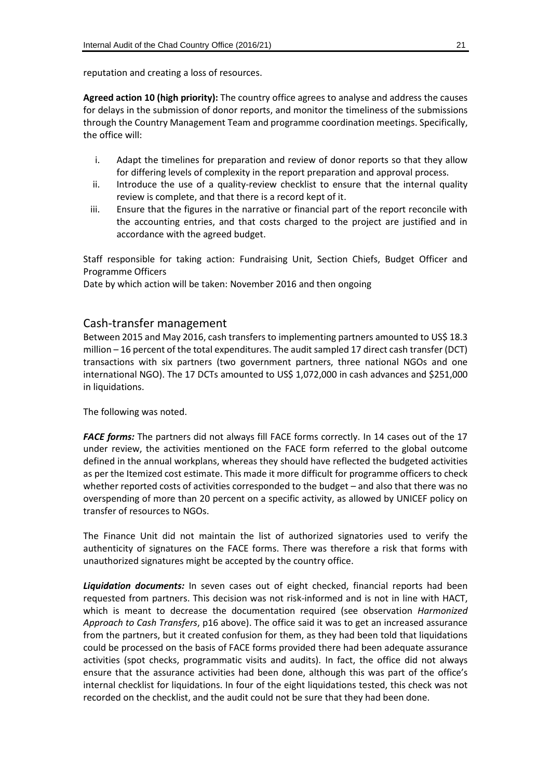reputation and creating a loss of resources.

**Agreed action 10 (high priority):** The country office agrees to analyse and address the causes for delays in the submission of donor reports, and monitor the timeliness of the submissions through the Country Management Team and programme coordination meetings. Specifically, the office will:

- i. Adapt the timelines for preparation and review of donor reports so that they allow for differing levels of complexity in the report preparation and approval process.
- ii. Introduce the use of a quality-review checklist to ensure that the internal quality review is complete, and that there is a record kept of it.
- iii. Ensure that the figures in the narrative or financial part of the report reconcile with the accounting entries, and that costs charged to the project are justified and in accordance with the agreed budget.

Staff responsible for taking action: Fundraising Unit, Section Chiefs, Budget Officer and Programme Officers

Date by which action will be taken: November 2016 and then ongoing

#### Cash-transfer management

Between 2015 and May 2016, cash transfers to implementing partners amounted to US\$ 18.3 million – 16 percent of the total expenditures. The audit sampled 17 direct cash transfer (DCT) transactions with six partners (two government partners, three national NGOs and one international NGO). The 17 DCTs amounted to US\$ 1,072,000 in cash advances and \$251,000 in liquidations.

The following was noted.

**FACE forms:** The partners did not always fill FACE forms correctly. In 14 cases out of the 17 under review, the activities mentioned on the FACE form referred to the global outcome defined in the annual workplans, whereas they should have reflected the budgeted activities as per the Itemized cost estimate. This made it more difficult for programme officers to check whether reported costs of activities corresponded to the budget – and also that there was no overspending of more than 20 percent on a specific activity, as allowed by UNICEF policy on transfer of resources to NGOs.

The Finance Unit did not maintain the list of authorized signatories used to verify the authenticity of signatures on the FACE forms. There was therefore a risk that forms with unauthorized signatures might be accepted by the country office.

*Liquidation documents:* In seven cases out of eight checked, financial reports had been requested from partners. This decision was not risk-informed and is not in line with HACT, which is meant to decrease the documentation required (see observation *Harmonized Approach to Cash Transfers*, p16 above). The office said it was to get an increased assurance from the partners, but it created confusion for them, as they had been told that liquidations could be processed on the basis of FACE forms provided there had been adequate assurance activities (spot checks, programmatic visits and audits). In fact, the office did not always ensure that the assurance activities had been done, although this was part of the office's internal checklist for liquidations. In four of the eight liquidations tested, this check was not recorded on the checklist, and the audit could not be sure that they had been done.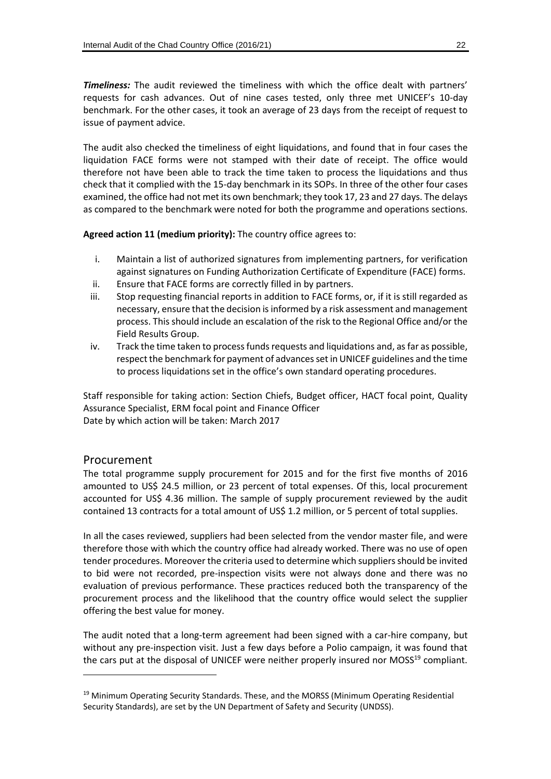*Timeliness:* The audit reviewed the timeliness with which the office dealt with partners' requests for cash advances. Out of nine cases tested, only three met UNICEF's 10-day benchmark. For the other cases, it took an average of 23 days from the receipt of request to issue of payment advice.

The audit also checked the timeliness of eight liquidations, and found that in four cases the liquidation FACE forms were not stamped with their date of receipt. The office would therefore not have been able to track the time taken to process the liquidations and thus check that it complied with the 15-day benchmark in its SOPs. In three of the other four cases examined, the office had not met its own benchmark; they took 17, 23 and 27 days. The delays as compared to the benchmark were noted for both the programme and operations sections.

**Agreed action 11 (medium priority):** The country office agrees to:

- i. Maintain a list of authorized signatures from implementing partners, for verification against signatures on Funding Authorization Certificate of Expenditure (FACE) forms.
- ii. Ensure that FACE forms are correctly filled in by partners.
- iii. Stop requesting financial reports in addition to FACE forms, or, if it is still regarded as necessary, ensure that the decision isinformed by a risk assessment and management process. This should include an escalation of the risk to the Regional Office and/or the Field Results Group.
- iv. Track the time taken to process funds requests and liquidations and, as far as possible, respect the benchmark for payment of advances set in UNICEF guidelines and the time to process liquidations set in the office's own standard operating procedures.

Staff responsible for taking action: Section Chiefs, Budget officer, HACT focal point, Quality Assurance Specialist, ERM focal point and Finance Officer Date by which action will be taken: March 2017

#### Procurement

 $\overline{a}$ 

The total programme supply procurement for 2015 and for the first five months of 2016 amounted to US\$ 24.5 million, or 23 percent of total expenses. Of this, local procurement accounted for US\$ 4.36 million. The sample of supply procurement reviewed by the audit contained 13 contracts for a total amount of US\$ 1.2 million, or 5 percent of total supplies.

In all the cases reviewed, suppliers had been selected from the vendor master file, and were therefore those with which the country office had already worked. There was no use of open tender procedures. Moreover the criteria used to determine which suppliers should be invited to bid were not recorded, pre-inspection visits were not always done and there was no evaluation of previous performance. These practices reduced both the transparency of the procurement process and the likelihood that the country office would select the supplier offering the best value for money.

The audit noted that a long-term agreement had been signed with a car-hire company, but without any pre-inspection visit. Just a few days before a Polio campaign, it was found that the cars put at the disposal of UNICEF were neither properly insured nor MOSS<sup>19</sup> compliant.

<sup>&</sup>lt;sup>19</sup> Minimum Operating Security Standards. These, and the MORSS (Minimum Operating Residential Security Standards), are set by the UN Department of Safety and Security (UNDSS).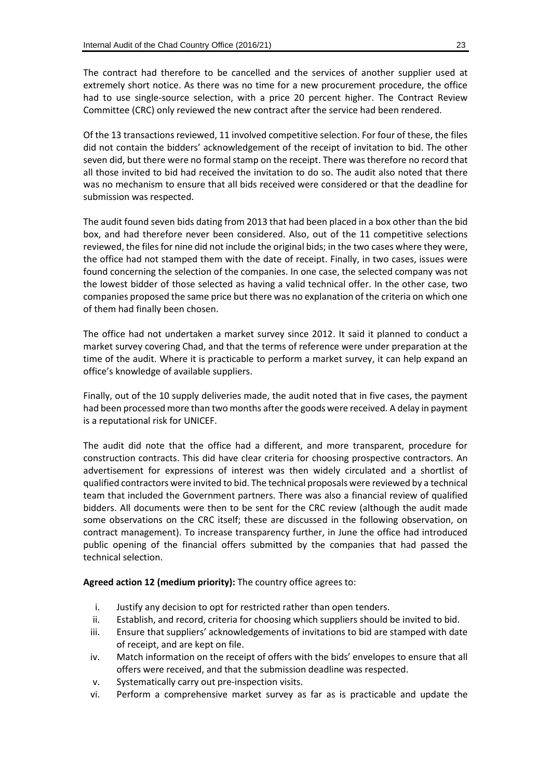The contract had therefore to be cancelled and the services of another supplier used at extremely short notice. As there was no time for a new procurement procedure, the office had to use single-source selection, with a price 20 percent higher. The Contract Review Committee (CRC) only reviewed the new contract after the service had been rendered.

Of the 13 transactions reviewed, 11 involved competitive selection. For four of these, the files did not contain the bidders' acknowledgement of the receipt of invitation to bid. The other seven did, but there were no formal stamp on the receipt. There was therefore no record that all those invited to bid had received the invitation to do so. The audit also noted that there was no mechanism to ensure that all bids received were considered or that the deadline for submission was respected.

The audit found seven bids dating from 2013 that had been placed in a box other than the bid box, and had therefore never been considered. Also, out of the 11 competitive selections reviewed, the files for nine did not include the original bids; in the two cases where they were, the office had not stamped them with the date of receipt. Finally, in two cases, issues were found concerning the selection of the companies. In one case, the selected company was not the lowest bidder of those selected as having a valid technical offer. In the other case, two companies proposed the same price but there was no explanation of the criteria on which one of them had finally been chosen.

The office had not undertaken a market survey since 2012. It said it planned to conduct a market survey covering Chad, and that the terms of reference were under preparation at the time of the audit. Where it is practicable to perform a market survey, it can help expand an office's knowledge of available suppliers.

Finally, out of the 10 supply deliveries made, the audit noted that in five cases, the payment had been processed more than two months after the goods were received. A delay in payment is a reputational risk for UNICEF.

The audit did note that the office had a different, and more transparent, procedure for construction contracts. This did have clear criteria for choosing prospective contractors. An advertisement for expressions of interest was then widely circulated and a shortlist of qualified contractors were invited to bid. The technical proposals were reviewed by a technical team that included the Government partners. There was also a financial review of qualified bidders. All documents were then to be sent for the CRC review (although the audit made some observations on the CRC itself; these are discussed in the following observation, on contract management). To increase transparency further, in June the office had introduced public opening of the financial offers submitted by the companies that had passed the technical selection.

#### **Agreed action 12 (medium priority):** The country office agrees to:

- i. Justify any decision to opt for restricted rather than open tenders.
- ii. Establish, and record, criteria for choosing which suppliers should be invited to bid.
- iii. Ensure that suppliers' acknowledgements of invitations to bid are stamped with date of receipt, and are kept on file.
- iv. Match information on the receipt of offers with the bids' envelopes to ensure that all offers were received, and that the submission deadline was respected.
- v. Systematically carry out pre-inspection visits.
- vi. Perform a comprehensive market survey as far as is practicable and update the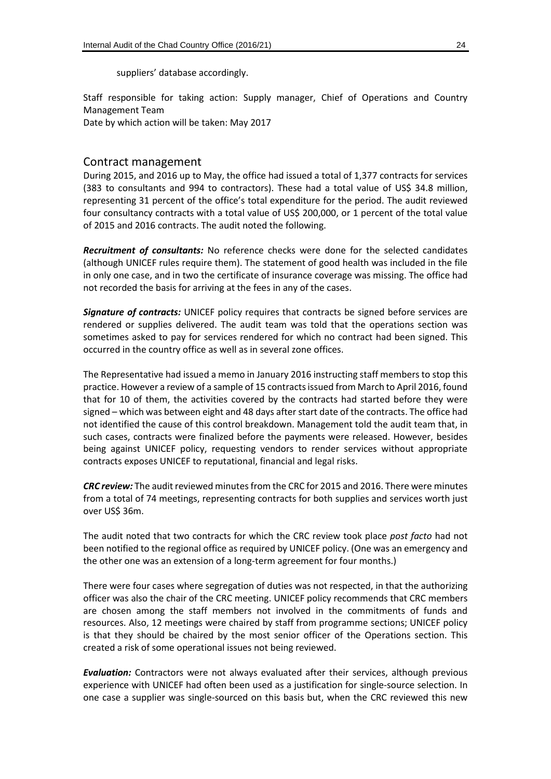suppliers' database accordingly.

Staff responsible for taking action: Supply manager, Chief of Operations and Country Management Team

Date by which action will be taken: May 2017

#### Contract management

During 2015, and 2016 up to May, the office had issued a total of 1,377 contracts for services (383 to consultants and 994 to contractors). These had a total value of US\$ 34.8 million, representing 31 percent of the office's total expenditure for the period. The audit reviewed four consultancy contracts with a total value of US\$ 200,000, or 1 percent of the total value of 2015 and 2016 contracts. The audit noted the following.

*Recruitment of consultants:* No reference checks were done for the selected candidates (although UNICEF rules require them). The statement of good health was included in the file in only one case, and in two the certificate of insurance coverage was missing. The office had not recorded the basis for arriving at the fees in any of the cases.

*Signature of contracts:* UNICEF policy requires that contracts be signed before services are rendered or supplies delivered. The audit team was told that the operations section was sometimes asked to pay for services rendered for which no contract had been signed. This occurred in the country office as well as in several zone offices.

The Representative had issued a memo in January 2016 instructing staff members to stop this practice. However a review of a sample of 15 contracts issued from March to April 2016, found that for 10 of them, the activities covered by the contracts had started before they were signed – which was between eight and 48 days after start date of the contracts. The office had not identified the cause of this control breakdown. Management told the audit team that, in such cases, contracts were finalized before the payments were released. However, besides being against UNICEF policy, requesting vendors to render services without appropriate contracts exposes UNICEF to reputational, financial and legal risks.

*CRC review:* The audit reviewed minutes from the CRC for 2015 and 2016. There were minutes from a total of 74 meetings, representing contracts for both supplies and services worth just over US\$ 36m.

The audit noted that two contracts for which the CRC review took place *post facto* had not been notified to the regional office as required by UNICEF policy. (One was an emergency and the other one was an extension of a long-term agreement for four months.)

There were four cases where segregation of duties was not respected, in that the authorizing officer was also the chair of the CRC meeting. UNICEF policy recommends that CRC members are chosen among the staff members not involved in the commitments of funds and resources. Also, 12 meetings were chaired by staff from programme sections; UNICEF policy is that they should be chaired by the most senior officer of the Operations section. This created a risk of some operational issues not being reviewed.

*Evaluation:* Contractors were not always evaluated after their services, although previous experience with UNICEF had often been used as a justification for single-source selection. In one case a supplier was single-sourced on this basis but, when the CRC reviewed this new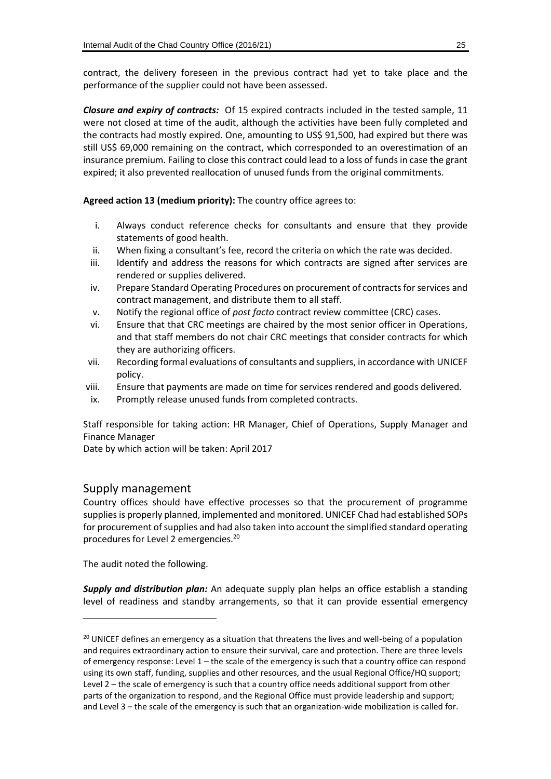contract, the delivery foreseen in the previous contract had yet to take place and the performance of the supplier could not have been assessed.

*Closure and expiry of contracts:*Of 15 expired contracts included in the tested sample, 11 were not closed at time of the audit, although the activities have been fully completed and the contracts had mostly expired. One, amounting to US\$ 91,500, had expired but there was still US\$ 69,000 remaining on the contract, which corresponded to an overestimation of an insurance premium. Failing to close this contract could lead to a loss of funds in case the grant expired; it also prevented reallocation of unused funds from the original commitments.

**Agreed action 13 (medium priority):** The country office agrees to:

- i. Always conduct reference checks for consultants and ensure that they provide statements of good health.
- ii. When fixing a consultant's fee, record the criteria on which the rate was decided.
- iii. Identify and address the reasons for which contracts are signed after services are rendered or supplies delivered.
- iv. Prepare Standard Operating Procedures on procurement of contracts for services and contract management, and distribute them to all staff.
- v. Notify the regional office of *post facto* contract review committee (CRC) cases.
- vi. Ensure that that CRC meetings are chaired by the most senior officer in Operations, and that staff members do not chair CRC meetings that consider contracts for which they are authorizing officers.
- vii. Recording formal evaluations of consultants and suppliers, in accordance with UNICEF policy.
- viii. Ensure that payments are made on time for services rendered and goods delivered.
- ix. Promptly release unused funds from completed contracts.

Staff responsible for taking action: HR Manager, Chief of Operations, Supply Manager and Finance Manager

Date by which action will be taken: April 2017

#### Supply management

Country offices should have effective processes so that the procurement of programme supplies is properly planned, implemented and monitored. UNICEF Chad had established SOPs for procurement of supplies and had also taken into account the simplified standard operating procedures for Level 2 emergencies.<sup>20</sup>

The audit noted the following.

-

*Supply and distribution plan:* An adequate supply plan helps an office establish a standing level of readiness and standby arrangements, so that it can provide essential emergency

 $20$  UNICEF defines an emergency as a situation that threatens the lives and well-being of a population and requires extraordinary action to ensure their survival, care and protection. There are three levels of emergency response: Level 1 – the scale of the emergency is such that a country office can respond using its own staff, funding, supplies and other resources, and the usual Regional Office/HQ support; Level 2 – the scale of emergency is such that a country office needs additional support from other parts of the organization to respond, and the Regional Office must provide leadership and support; and Level 3 – the scale of the emergency is such that an organization-wide mobilization is called for.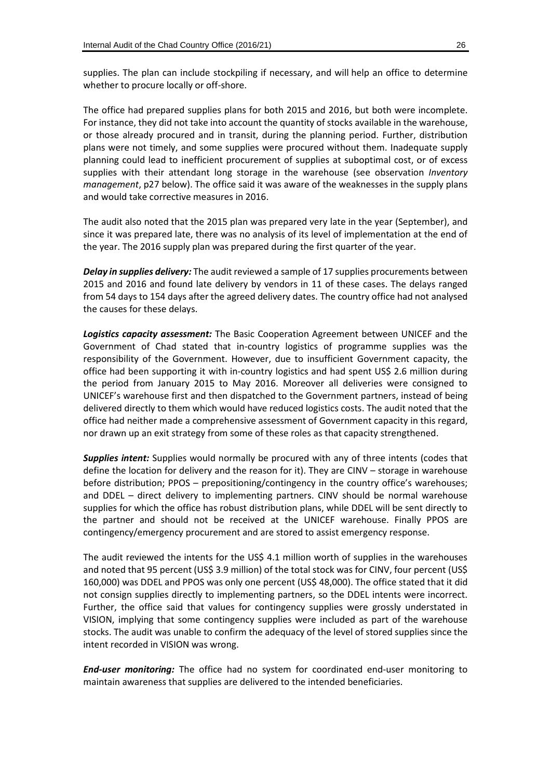supplies. The plan can include stockpiling if necessary, and will help an office to determine whether to procure locally or off-shore.

The office had prepared supplies plans for both 2015 and 2016, but both were incomplete. For instance, they did not take into account the quantity of stocks available in the warehouse, or those already procured and in transit, during the planning period. Further, distribution plans were not timely, and some supplies were procured without them. Inadequate supply planning could lead to inefficient procurement of supplies at suboptimal cost, or of excess supplies with their attendant long storage in the warehouse (see observation *Inventory management*, p27 below). The office said it was aware of the weaknesses in the supply plans and would take corrective measures in 2016.

The audit also noted that the 2015 plan was prepared very late in the year (September), and since it was prepared late, there was no analysis of its level of implementation at the end of the year. The 2016 supply plan was prepared during the first quarter of the year.

*Delay in supplies delivery:* The audit reviewed a sample of 17 supplies procurements between 2015 and 2016 and found late delivery by vendors in 11 of these cases. The delays ranged from 54 days to 154 days after the agreed delivery dates. The country office had not analysed the causes for these delays.

*Logistics capacity assessment:* The Basic Cooperation Agreement between UNICEF and the Government of Chad stated that in-country logistics of programme supplies was the responsibility of the Government. However, due to insufficient Government capacity, the office had been supporting it with in-country logistics and had spent US\$ 2.6 million during the period from January 2015 to May 2016. Moreover all deliveries were consigned to UNICEF's warehouse first and then dispatched to the Government partners, instead of being delivered directly to them which would have reduced logistics costs. The audit noted that the office had neither made a comprehensive assessment of Government capacity in this regard, nor drawn up an exit strategy from some of these roles as that capacity strengthened.

*Supplies intent:* Supplies would normally be procured with any of three intents (codes that define the location for delivery and the reason for it). They are CINV – storage in warehouse before distribution; PPOS – prepositioning/contingency in the country office's warehouses; and DDEL – direct delivery to implementing partners. CINV should be normal warehouse supplies for which the office has robust distribution plans, while DDEL will be sent directly to the partner and should not be received at the UNICEF warehouse. Finally PPOS are contingency/emergency procurement and are stored to assist emergency response.

The audit reviewed the intents for the US\$ 4.1 million worth of supplies in the warehouses and noted that 95 percent (US\$ 3.9 million) of the total stock was for CINV, four percent (US\$ 160,000) was DDEL and PPOS was only one percent (US\$ 48,000). The office stated that it did not consign supplies directly to implementing partners, so the DDEL intents were incorrect. Further, the office said that values for contingency supplies were grossly understated in VISION, implying that some contingency supplies were included as part of the warehouse stocks. The audit was unable to confirm the adequacy of the level of stored supplies since the intent recorded in VISION was wrong.

*End-user monitoring:* The office had no system for coordinated end-user monitoring to maintain awareness that supplies are delivered to the intended beneficiaries.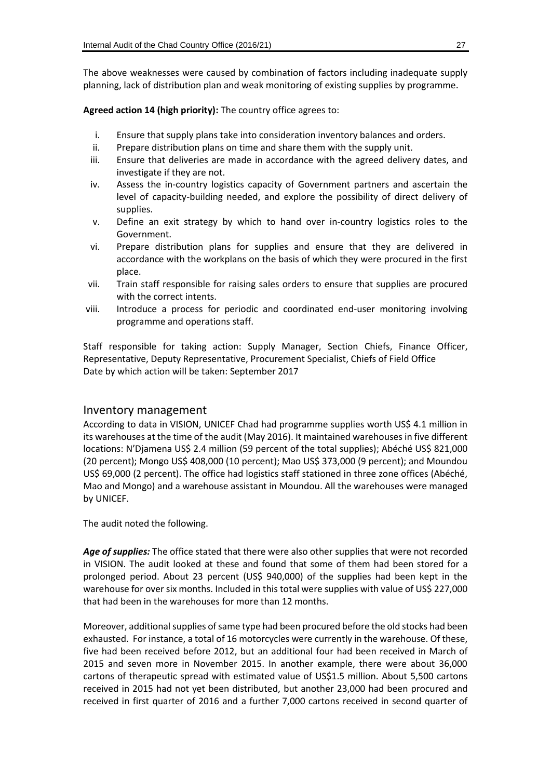The above weaknesses were caused by combination of factors including inadequate supply planning, lack of distribution plan and weak monitoring of existing supplies by programme.

**Agreed action 14 (high priority):** The country office agrees to:

- i. Ensure that supply plans take into consideration inventory balances and orders.
- ii. Prepare distribution plans on time and share them with the supply unit.
- iii. Ensure that deliveries are made in accordance with the agreed delivery dates, and investigate if they are not.
- iv. Assess the in-country logistics capacity of Government partners and ascertain the level of capacity-building needed, and explore the possibility of direct delivery of supplies.
- v. Define an exit strategy by which to hand over in-country logistics roles to the Government.
- vi. Prepare distribution plans for supplies and ensure that they are delivered in accordance with the workplans on the basis of which they were procured in the first place.
- vii. Train staff responsible for raising sales orders to ensure that supplies are procured with the correct intents.
- viii. Introduce a process for periodic and coordinated end-user monitoring involving programme and operations staff.

Staff responsible for taking action: Supply Manager, Section Chiefs, Finance Officer, Representative, Deputy Representative, Procurement Specialist, Chiefs of Field Office Date by which action will be taken: September 2017

#### Inventory management

According to data in VISION, UNICEF Chad had programme supplies worth US\$ 4.1 million in its warehouses at the time of the audit (May 2016). It maintained warehouses in five different locations: N'Djamena US\$ 2.4 million (59 percent of the total supplies); Abéché US\$ 821,000 (20 percent); Mongo US\$ 408,000 (10 percent); Mao US\$ 373,000 (9 percent); and Moundou US\$ 69,000 (2 percent). The office had logistics staff stationed in three zone offices (Abéché, Mao and Mongo) and a warehouse assistant in Moundou. All the warehouses were managed by UNICEF.

The audit noted the following.

*Age of supplies:* The office stated that there were also other supplies that were not recorded in VISION. The audit looked at these and found that some of them had been stored for a prolonged period. About 23 percent (US\$ 940,000) of the supplies had been kept in the warehouse for over six months. Included in this total were supplies with value of US\$ 227,000 that had been in the warehouses for more than 12 months.

Moreover, additional supplies of same type had been procured before the old stocks had been exhausted. For instance, a total of 16 motorcycles were currently in the warehouse. Of these, five had been received before 2012, but an additional four had been received in March of 2015 and seven more in November 2015. In another example, there were about 36,000 cartons of therapeutic spread with estimated value of US\$1.5 million. About 5,500 cartons received in 2015 had not yet been distributed, but another 23,000 had been procured and received in first quarter of 2016 and a further 7,000 cartons received in second quarter of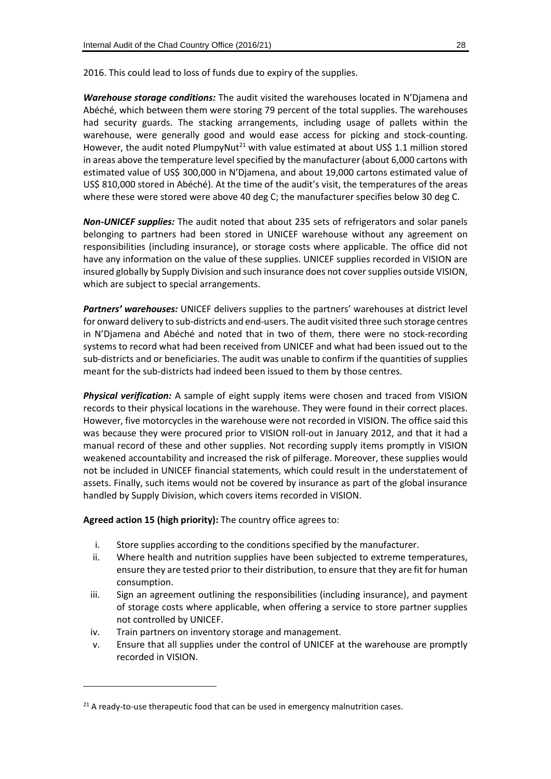2016. This could lead to loss of funds due to expiry of the supplies.

*Warehouse storage conditions:* The audit visited the warehouses located in N'Djamena and Abéché, which between them were storing 79 percent of the total supplies. The warehouses had security guards. The stacking arrangements, including usage of pallets within the warehouse, were generally good and would ease access for picking and stock-counting. However, the audit noted PlumpyNut<sup>21</sup> with value estimated at about US\$ 1.1 million stored in areas above the temperature level specified by the manufacturer (about 6,000 cartons with estimated value of US\$ 300,000 in N'Djamena, and about 19,000 cartons estimated value of US\$ 810,000 stored in Abéché). At the time of the audit's visit, the temperatures of the areas where these were stored were above 40 deg C; the manufacturer specifies below 30 deg C.

*Non-UNICEF supplies:* The audit noted that about 235 sets of refrigerators and solar panels belonging to partners had been stored in UNICEF warehouse without any agreement on responsibilities (including insurance), or storage costs where applicable. The office did not have any information on the value of these supplies. UNICEF supplies recorded in VISION are insured globally by Supply Division and such insurance does not cover supplies outside VISION, which are subject to special arrangements.

*Partners' warehouses:* UNICEF delivers supplies to the partners' warehouses at district level for onward delivery to sub-districts and end-users. The audit visited three such storage centres in N'Djamena and Abéché and noted that in two of them, there were no stock-recording systems to record what had been received from UNICEF and what had been issued out to the sub-districts and or beneficiaries. The audit was unable to confirm if the quantities of supplies meant for the sub-districts had indeed been issued to them by those centres.

*Physical verification:* A sample of eight supply items were chosen and traced from VISION records to their physical locations in the warehouse. They were found in their correct places. However, five motorcycles in the warehouse were not recorded in VISION. The office said this was because they were procured prior to VISION roll-out in January 2012, and that it had a manual record of these and other supplies. Not recording supply items promptly in VISION weakened accountability and increased the risk of pilferage. Moreover, these supplies would not be included in UNICEF financial statements, which could result in the understatement of assets. Finally, such items would not be covered by insurance as part of the global insurance handled by Supply Division, which covers items recorded in VISION.

**Agreed action 15 (high priority):** The country office agrees to:

- i. Store supplies according to the conditions specified by the manufacturer.
- ii. Where health and nutrition supplies have been subjected to extreme temperatures, ensure they are tested prior to their distribution, to ensure that they are fit for human consumption.
- iii. Sign an agreement outlining the responsibilities (including insurance), and payment of storage costs where applicable, when offering a service to store partner supplies not controlled by UNICEF.
- iv. Train partners on inventory storage and management.

-

v. Ensure that all supplies under the control of UNICEF at the warehouse are promptly recorded in VISION.

 $21$  A ready-to-use therapeutic food that can be used in emergency malnutrition cases.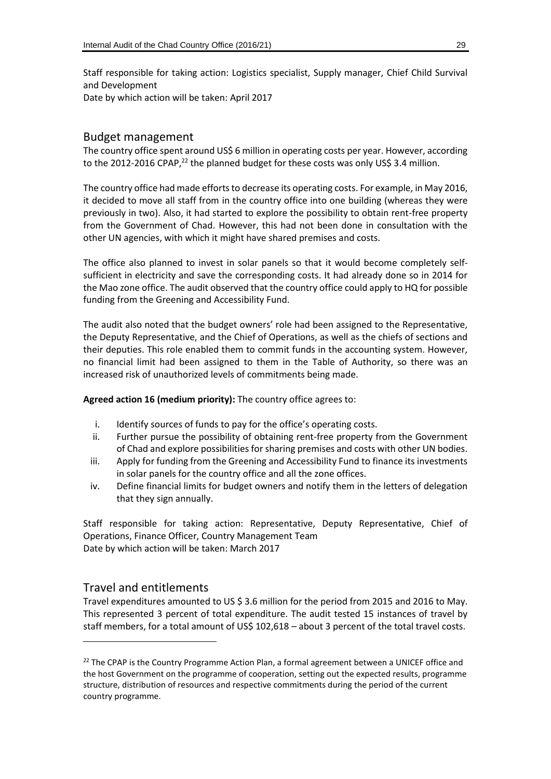Staff responsible for taking action: Logistics specialist, Supply manager, Chief Child Survival and Development Date by which action will be taken: April 2017

#### Budget management

The country office spent around US\$ 6 million in operating costs per year. However, according to the 2012-2016 CPAP,<sup>22</sup> the planned budget for these costs was only US\$ 3.4 million.

The country office had made efforts to decrease its operating costs. For example, in May 2016, it decided to move all staff from in the country office into one building (whereas they were previously in two). Also, it had started to explore the possibility to obtain rent-free property from the Government of Chad. However, this had not been done in consultation with the other UN agencies, with which it might have shared premises and costs.

The office also planned to invest in solar panels so that it would become completely selfsufficient in electricity and save the corresponding costs. It had already done so in 2014 for the Mao zone office. The audit observed that the country office could apply to HQ for possible funding from the Greening and Accessibility Fund.

The audit also noted that the budget owners' role had been assigned to the Representative, the Deputy Representative, and the Chief of Operations, as well as the chiefs of sections and their deputies. This role enabled them to commit funds in the accounting system. However, no financial limit had been assigned to them in the Table of Authority, so there was an increased risk of unauthorized levels of commitments being made.

**Agreed action 16 (medium priority):** The country office agrees to:

- i. Identify sources of funds to pay for the office's operating costs.
- ii. Further pursue the possibility of obtaining rent-free property from the Government of Chad and explore possibilities for sharing premises and costs with other UN bodies.
- iii. Apply for funding from the Greening and Accessibility Fund to finance its investments in solar panels for the country office and all the zone offices.
- iv. Define financial limits for budget owners and notify them in the letters of delegation that they sign annually.

Staff responsible for taking action: Representative, Deputy Representative, Chief of Operations, Finance Officer, Country Management Team Date by which action will be taken: March 2017

#### Travel and entitlements

 $\overline{a}$ 

Travel expenditures amounted to US \$ 3.6 million for the period from 2015 and 2016 to May. This represented 3 percent of total expenditure. The audit tested 15 instances of travel by staff members, for a total amount of US\$ 102,618 – about 3 percent of the total travel costs.

<sup>&</sup>lt;sup>22</sup> The CPAP is the Country Programme Action Plan, a formal agreement between a UNICEF office and the host Government on the programme of cooperation, setting out the expected results, programme structure, distribution of resources and respective commitments during the period of the current country programme.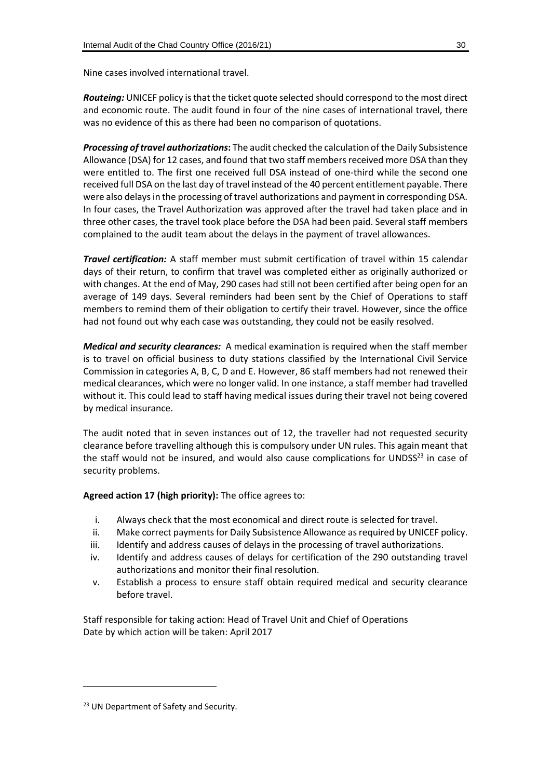Nine cases involved international travel.

*Routeing:* UNICEF policy is that the ticket quote selected should correspond to the most direct and economic route. The audit found in four of the nine cases of international travel, there was no evidence of this as there had been no comparison of quotations.

*Processing of travel authorizations***:** The audit checked the calculation of the Daily Subsistence Allowance (DSA) for 12 cases, and found that two staff members received more DSA than they were entitled to. The first one received full DSA instead of one-third while the second one received full DSA on the last day of travel instead of the 40 percent entitlement payable. There were also delays in the processing of travel authorizations and payment in corresponding DSA. In four cases, the Travel Authorization was approved after the travel had taken place and in three other cases, the travel took place before the DSA had been paid. Several staff members complained to the audit team about the delays in the payment of travel allowances.

*Travel certification:* A staff member must submit certification of travel within 15 calendar days of their return, to confirm that travel was completed either as originally authorized or with changes. At the end of May, 290 cases had still not been certified after being open for an average of 149 days. Several reminders had been sent by the Chief of Operations to staff members to remind them of their obligation to certify their travel. However, since the office had not found out why each case was outstanding, they could not be easily resolved.

*Medical and security clearances:* A medical examination is required when the staff member is to travel on official business to duty stations classified by the International Civil Service Commission in categories A, B, C, D and E. However, 86 staff members had not renewed their medical clearances, which were no longer valid. In one instance, a staff member had travelled without it. This could lead to staff having medical issues during their travel not being covered by medical insurance.

The audit noted that in seven instances out of 12, the traveller had not requested security clearance before travelling although this is compulsory under UN rules. This again meant that the staff would not be insured, and would also cause complications for UNDSS<sup>23</sup> in case of security problems.

**Agreed action 17 (high priority):** The office agrees to:

- i. Always check that the most economical and direct route is selected for travel.
- ii. Make correct payments for Daily Subsistence Allowance as required by UNICEF policy.
- iii. Identify and address causes of delays in the processing of travel authorizations.
- iv. Identify and address causes of delays for certification of the 290 outstanding travel authorizations and monitor their final resolution.
- v. Establish a process to ensure staff obtain required medical and security clearance before travel.

Staff responsible for taking action: Head of Travel Unit and Chief of Operations Date by which action will be taken: April 2017

-

<sup>&</sup>lt;sup>23</sup> UN Department of Safety and Security.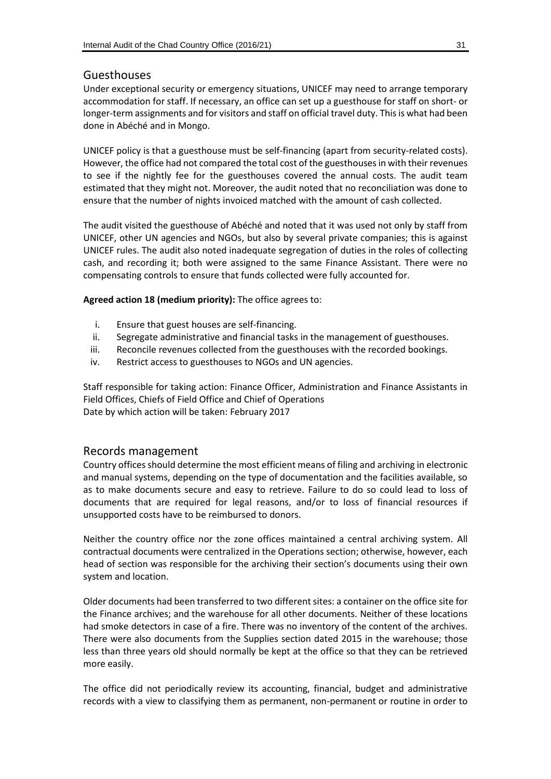#### Guesthouses

Under exceptional security or emergency situations, UNICEF may need to arrange temporary accommodation for staff. If necessary, an office can set up a guesthouse for staff on short- or longer-term assignments and for visitors and staff on official travel duty. This is what had been done in Abéché and in Mongo.

UNICEF policy is that a guesthouse must be self-financing (apart from security-related costs). However, the office had not compared the total cost of the guesthouses in with their revenues to see if the nightly fee for the guesthouses covered the annual costs. The audit team estimated that they might not. Moreover, the audit noted that no reconciliation was done to ensure that the number of nights invoiced matched with the amount of cash collected.

The audit visited the guesthouse of Abéché and noted that it was used not only by staff from UNICEF, other UN agencies and NGOs, but also by several private companies; this is against UNICEF rules. The audit also noted inadequate segregation of duties in the roles of collecting cash, and recording it; both were assigned to the same Finance Assistant. There were no compensating controls to ensure that funds collected were fully accounted for.

**Agreed action 18 (medium priority):** The office agrees to:

- i. Ensure that guest houses are self-financing.
- ii. Segregate administrative and financial tasks in the management of guesthouses.
- iii. Reconcile revenues collected from the guesthouses with the recorded bookings.
- iv. Restrict access to guesthouses to NGOs and UN agencies.

Staff responsible for taking action: Finance Officer, Administration and Finance Assistants in Field Offices, Chiefs of Field Office and Chief of Operations Date by which action will be taken: February 2017

#### Records management

Country offices should determine the most efficient means of filing and archiving in electronic and manual systems, depending on the type of documentation and the facilities available, so as to make documents secure and easy to retrieve. Failure to do so could lead to loss of documents that are required for legal reasons, and/or to loss of financial resources if unsupported costs have to be reimbursed to donors.

Neither the country office nor the zone offices maintained a central archiving system. All contractual documents were centralized in the Operations section; otherwise, however, each head of section was responsible for the archiving their section's documents using their own system and location.

Older documents had been transferred to two different sites: a container on the office site for the Finance archives; and the warehouse for all other documents. Neither of these locations had smoke detectors in case of a fire. There was no inventory of the content of the archives. There were also documents from the Supplies section dated 2015 in the warehouse; those less than three years old should normally be kept at the office so that they can be retrieved more easily.

The office did not periodically review its accounting, financial, budget and administrative records with a view to classifying them as permanent, non-permanent or routine in order to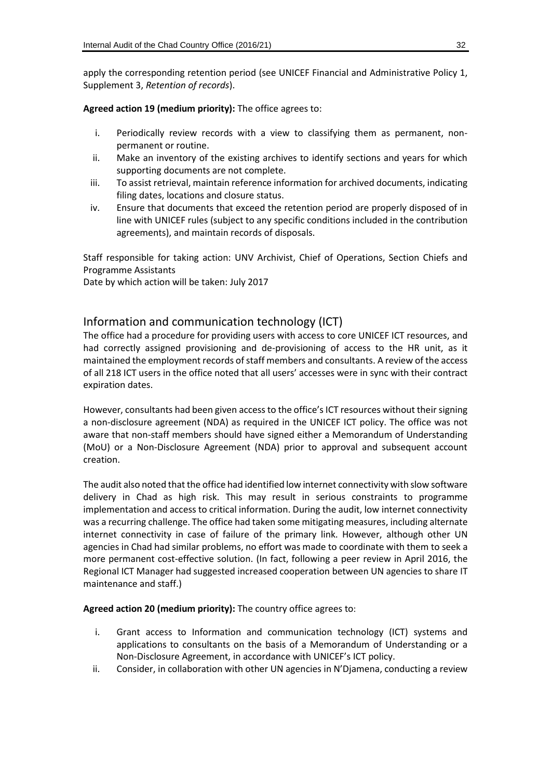apply the corresponding retention period (see UNICEF Financial and Administrative Policy 1, Supplement 3, *Retention of records*).

**Agreed action 19 (medium priority):** The office agrees to:

- i. Periodically review records with a view to classifying them as permanent, nonpermanent or routine.
- ii. Make an inventory of the existing archives to identify sections and years for which supporting documents are not complete.
- iii. To assist retrieval, maintain reference information for archived documents, indicating filing dates, locations and closure status.
- iv. Ensure that documents that exceed the retention period are properly disposed of in line with UNICEF rules (subject to any specific conditions included in the contribution agreements), and maintain records of disposals.

Staff responsible for taking action: UNV Archivist, Chief of Operations, Section Chiefs and Programme Assistants

Date by which action will be taken: July 2017

#### Information and communication technology (ICT)

The office had a procedure for providing users with access to core UNICEF ICT resources, and had correctly assigned provisioning and de-provisioning of access to the HR unit, as it maintained the employment records of staff members and consultants. A review of the access of all 218 ICT users in the office noted that all users' accesses were in sync with their contract expiration dates.

However, consultants had been given access to the office's ICT resources without their signing a non-disclosure agreement (NDA) as required in the UNICEF ICT policy. The office was not aware that non-staff members should have signed either a Memorandum of Understanding (MoU) or a Non-Disclosure Agreement (NDA) prior to approval and subsequent account creation.

The audit also noted that the office had identified low internet connectivity with slow software delivery in Chad as high risk. This may result in serious constraints to programme implementation and access to critical information. During the audit, low internet connectivity was a recurring challenge. The office had taken some mitigating measures, including alternate internet connectivity in case of failure of the primary link. However, although other UN agencies in Chad had similar problems, no effort was made to coordinate with them to seek a more permanent cost-effective solution. (In fact, following a peer review in April 2016, the Regional ICT Manager had suggested increased cooperation between UN agencies to share IT maintenance and staff.)

**Agreed action 20 (medium priority):** The country office agrees to:

- i. Grant access to Information and communication technology (ICT) systems and applications to consultants on the basis of a Memorandum of Understanding or a Non-Disclosure Agreement, in accordance with UNICEF's ICT policy.
- ii. Consider, in collaboration with other UN agencies in N'Djamena, conducting a review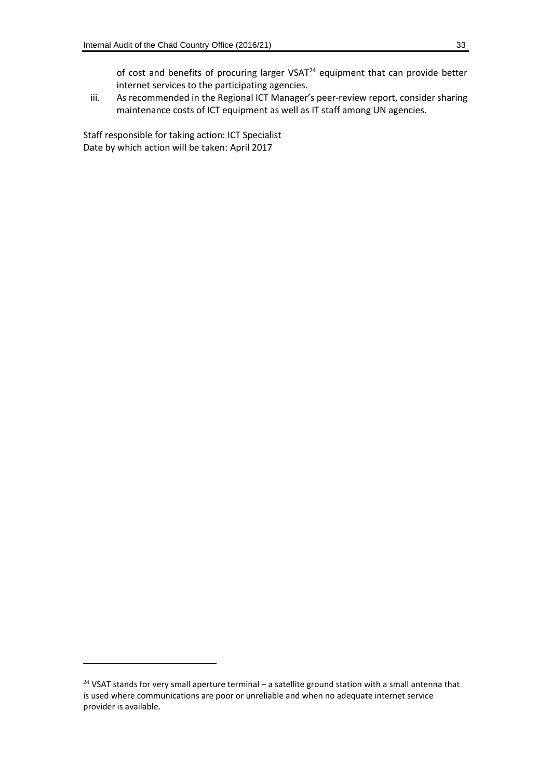of cost and benefits of procuring larger  $VSAT^{24}$  equipment that can provide better internet services to the participating agencies.

iii. As recommended in the Regional ICT Manager's peer-review report, consider sharing maintenance costs of ICT equipment as well as IT staff among UN agencies.

Staff responsible for taking action: ICT Specialist Date by which action will be taken: April 2017

-

 $24$  VSAT stands for very small aperture terminal – a satellite ground station with a small antenna that is used where communications are poor or unreliable and when no adequate internet service provider is available.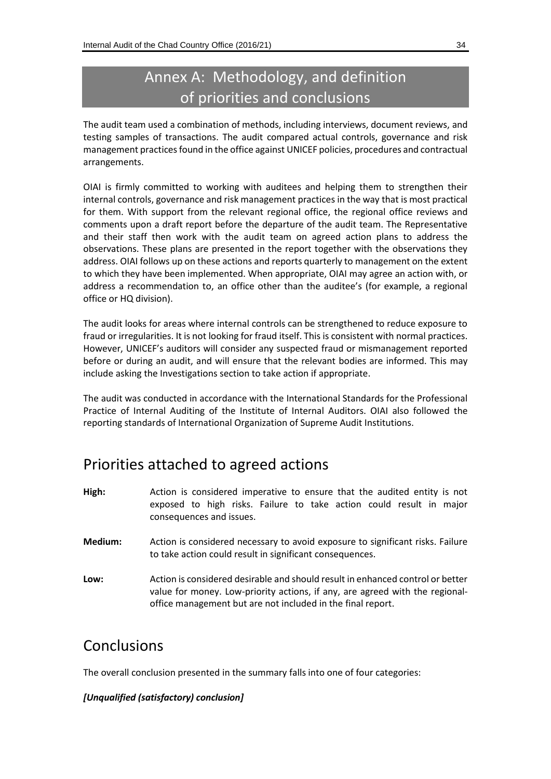## Annex A: Methodology, and definition of priorities and conclusions

The audit team used a combination of methods, including interviews, document reviews, and testing samples of transactions. The audit compared actual controls, governance and risk management practices found in the office against UNICEF policies, procedures and contractual arrangements.

OIAI is firmly committed to working with auditees and helping them to strengthen their internal controls, governance and risk management practices in the way that is most practical for them. With support from the relevant regional office, the regional office reviews and comments upon a draft report before the departure of the audit team. The Representative and their staff then work with the audit team on agreed action plans to address the observations. These plans are presented in the report together with the observations they address. OIAI follows up on these actions and reports quarterly to management on the extent to which they have been implemented. When appropriate, OIAI may agree an action with, or address a recommendation to, an office other than the auditee's (for example, a regional office or HQ division).

The audit looks for areas where internal controls can be strengthened to reduce exposure to fraud or irregularities. It is not looking for fraud itself. This is consistent with normal practices. However, UNICEF's auditors will consider any suspected fraud or mismanagement reported before or during an audit, and will ensure that the relevant bodies are informed. This may include asking the Investigations section to take action if appropriate.

The audit was conducted in accordance with the International Standards for the Professional Practice of Internal Auditing of the Institute of Internal Auditors. OIAI also followed the reporting standards of International Organization of Supreme Audit Institutions.

## Priorities attached to agreed actions

- **High:** Action is considered imperative to ensure that the audited entity is not exposed to high risks. Failure to take action could result in major consequences and issues.
- **Medium:** Action is considered necessary to avoid exposure to significant risks. Failure to take action could result in significant consequences.
- **Low:** Action is considered desirable and should result in enhanced control or better value for money. Low-priority actions, if any, are agreed with the regionaloffice management but are not included in the final report.

## Conclusions

The overall conclusion presented in the summary falls into one of four categories:

#### *[Unqualified (satisfactory) conclusion]*